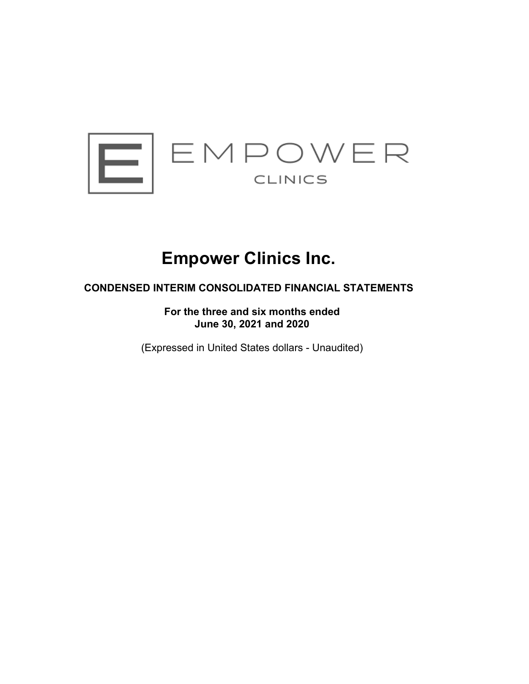

# **Empower Clinics Inc.**

# **CONDENSED INTERIM CONSOLIDATED FINANCIAL STATEMENTS**

**For the three and six months ended June 30, 2021 and 2020**

(Expressed in United States dollars - Unaudited)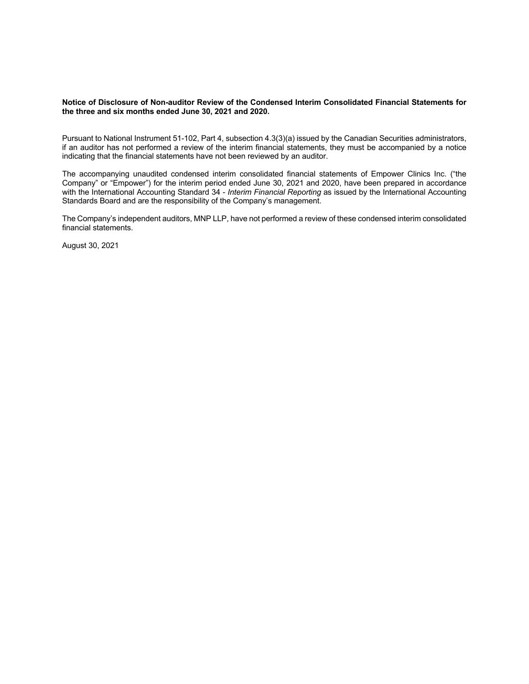#### **Notice of Disclosure of Non-auditor Review of the Condensed Interim Consolidated Financial Statements for the three and six months ended June 30, 2021 and 2020.**

Pursuant to National Instrument 51-102, Part 4, subsection 4.3(3)(a) issued by the Canadian Securities administrators, if an auditor has not performed a review of the interim financial statements, they must be accompanied by a notice indicating that the financial statements have not been reviewed by an auditor.

The accompanying unaudited condensed interim consolidated financial statements of Empower Clinics Inc. ("the Company" or "Empower") for the interim period ended June 30, 2021 and 2020, have been prepared in accordance with the International Accounting Standard 34 - *Interim Financial Reporting* as issued by the International Accounting Standards Board and are the responsibility of the Company's management.

The Company's independent auditors, MNP LLP, have not performed a review of these condensed interim consolidated financial statements.

August 30, 2021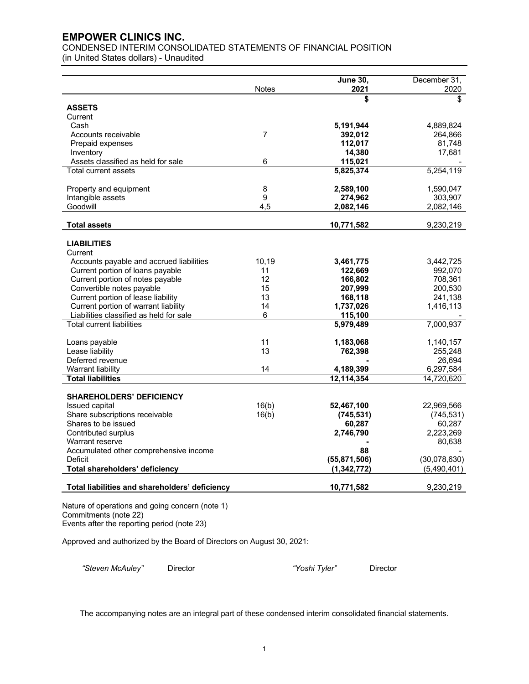CONDENSED INTERIM CONSOLIDATED STATEMENTS OF FINANCIAL POSITION (in United States dollars) - Unaudited

|                                                | <b>Notes</b>   | <b>June 30,</b><br>2021 | December 31,<br>2020 |
|------------------------------------------------|----------------|-------------------------|----------------------|
|                                                |                | \$                      |                      |
| <b>ASSETS</b>                                  |                |                         |                      |
| Current                                        |                |                         |                      |
| Cash                                           |                | 5,191,944               | 4,889,824            |
| Accounts receivable                            | $\overline{7}$ | 392,012                 | 264,866              |
| Prepaid expenses                               |                | 112,017                 | 81,748               |
| Inventory                                      |                | 14,380                  | 17,681               |
| Assets classified as held for sale             | 6              | 115,021                 |                      |
| <b>Total current assets</b>                    |                | 5,825,374               | 5,254,119            |
| Property and equipment                         | $\bf 8$        | 2,589,100               | 1,590,047            |
| Intangible assets                              | 9              | 274,962                 | 303,907              |
| Goodwill                                       | 4.5            | 2,082,146               | 2,082,146            |
| <b>Total assets</b>                            |                | 10,771,582              | 9,230,219            |
| <b>LIABILITIES</b>                             |                |                         |                      |
| Current                                        |                |                         |                      |
| Accounts payable and accrued liabilities       | 10,19          | 3,461,775               | 3,442,725            |
| Current portion of loans payable               | 11             | 122,669                 | 992,070              |
| Current portion of notes payable               | 12             | 166,802                 | 708,361              |
| Convertible notes payable                      | 15             | 207,999                 | 200,530              |
| Current portion of lease liability             | 13             | 168,118                 | 241,138              |
| Current portion of warrant liability           | 14             | 1,737,026               | 1,416,113            |
| Liabilities classified as held for sale        | 6              | 115,100                 |                      |
| <b>Total current liabilities</b>               |                | 5,979,489               | 7,000,937            |
| Loans payable                                  | 11             | 1,183,068               | 1,140,157            |
| Lease liability                                | 13             | 762,398                 | 255,248              |
| Deferred revenue                               |                |                         | 26,694               |
| Warrant liability                              | 14             | 4,189,399               | 6,297,584            |
| <b>Total liabilities</b>                       |                | 12,114,354              | 14,720,620           |
| <b>SHAREHOLDERS' DEFICIENCY</b>                |                |                         |                      |
| Issued capital                                 | 16(b)          | 52,467,100              | 22,969,566           |
| Share subscriptions receivable                 | 16(b)          | (745, 531)              | (745, 531)           |
| Shares to be issued                            |                | 60,287                  | 60,287               |
| Contributed surplus                            |                | 2,746,790               | 2,223,269            |
| Warrant reserve                                |                |                         | 80,638               |
| Accumulated other comprehensive income         |                | 88                      |                      |
| Deficit                                        |                | (55, 871, 506)          | (30,078,630)         |
| Total shareholders' deficiency                 |                | (1, 342, 772)           | (5,490,401)          |
| Total liabilities and shareholders' deficiency |                | 10,771,582              | 9,230,219            |

Nature of operations and going concern (note 1) Commitments (note 22) Events after the reporting period (note 23)

Approved and authorized by the Board of Directors on August 30, 2021:

*"Steven McAuley"* Director *"Yoshi Tyler"* Director

The accompanying notes are an integral part of these condensed interim consolidated financial statements.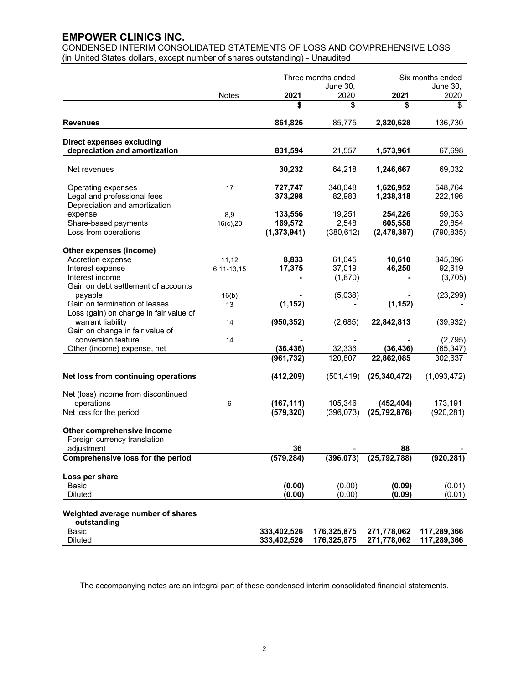CONDENSED INTERIM CONSOLIDATED STATEMENTS OF LOSS AND COMPREHENSIVE LOSS (in United States dollars, except number of shares outstanding) - Unaudited

|                                                       |              |               | Three months ended |                | Six months ended  |
|-------------------------------------------------------|--------------|---------------|--------------------|----------------|-------------------|
|                                                       |              |               | June 30,           |                | June 30,          |
|                                                       | Notes        | 2021          | 2020               | 2021           | 2020              |
|                                                       |              | S             | \$                 | \$             | \$                |
| Revenues                                              |              | 861,826       | 85,775             | 2,820,628      | 136,730           |
| <b>Direct expenses excluding</b>                      |              |               |                    |                |                   |
| depreciation and amortization                         |              | 831,594       | 21,557             | 1,573,961      | 67,698            |
| Net revenues                                          |              | 30,232        | 64,218             | 1,246,667      | 69,032            |
| Operating expenses                                    | 17           | 727,747       | 340,048            | 1,626,952      | 548,764           |
| Legal and professional fees                           |              | 373,298       | 82,983             | 1,238,318      | 222,196           |
| Depreciation and amortization                         |              |               |                    |                |                   |
| expense                                               | 8,9          | 133,556       | 19,251             | 254,226        | 59,053            |
| Share-based payments                                  | $16(c)$ , 20 | 169,572       | 2,548              | 605,558        | 29,854            |
| Loss from operations                                  |              | (1, 373, 941) | (380, 612)         | (2, 478, 387)  | (790, 835)        |
|                                                       |              |               |                    |                |                   |
| Other expenses (income)                               |              |               |                    |                |                   |
| Accretion expense                                     | 11,12        | 8,833         | 61,045             | 10,610         | 345,096<br>92,619 |
| Interest expense<br>Interest income                   | 6,11-13,15   | 17,375        | 37,019             | 46,250         |                   |
| Gain on debt settlement of accounts                   |              |               | (1,870)            |                | (3,705)           |
| payable                                               |              |               |                    |                | (23, 299)         |
| Gain on termination of leases                         | 16(b)        | (1, 152)      | (5,038)            | (1, 152)       |                   |
| Loss (gain) on change in fair value of                | 13           |               |                    |                |                   |
|                                                       |              |               |                    |                |                   |
| warrant liability                                     | 14           | (950, 352)    | (2,685)            | 22,842,813     | (39, 932)         |
| Gain on change in fair value of<br>conversion feature |              |               |                    |                | (2,795)           |
| Other (income) expense, net                           | 14           | (36, 436)     | 32,336             | (36, 436)      | (65, 347)         |
|                                                       |              | (961, 732)    | 120,807            | 22,862,085     | 302,637           |
|                                                       |              |               |                    |                |                   |
| Net loss from continuing operations                   |              | (412, 209)    | (501, 419)         | (25, 340, 472) | (1,093,472)       |
| Net (loss) income from discontinued                   |              |               |                    |                |                   |
| operations                                            | 6            | (167, 111)    | 105,346            | (452, 404)     | 173,191           |
| Net loss for the period                               |              | (579, 320)    | (396, 073)         | (25, 792, 876) | (920, 281)        |
| Other comprehensive income                            |              |               |                    |                |                   |
| Foreign currency translation                          |              |               |                    |                |                   |
| adjustment                                            |              | 36            |                    | 88             |                   |
| <b>Comprehensive loss for the period</b>              |              | (579,284)     | (396,073)          | (25, 792, 788) | (920,281)         |
| Loss per share                                        |              |               |                    |                |                   |
| Basic                                                 |              | (0.00)        | (0.00)             | (0.09)         | (0.01)            |
| <b>Diluted</b>                                        |              | (0.00)        | (0.00)             | (0.09)         | (0.01)            |
|                                                       |              |               |                    |                |                   |
| Weighted average number of shares                     |              |               |                    |                |                   |
| outstanding<br>Basic                                  |              | 333.402.526   | 176,325,875        | 271,778,062    | 117,289,366       |
| <b>Diluted</b>                                        |              | 333,402,526   | 176,325,875        | 271,778,062    | 117,289,366       |
|                                                       |              |               |                    |                |                   |

The accompanying notes are an integral part of these condensed interim consolidated financial statements.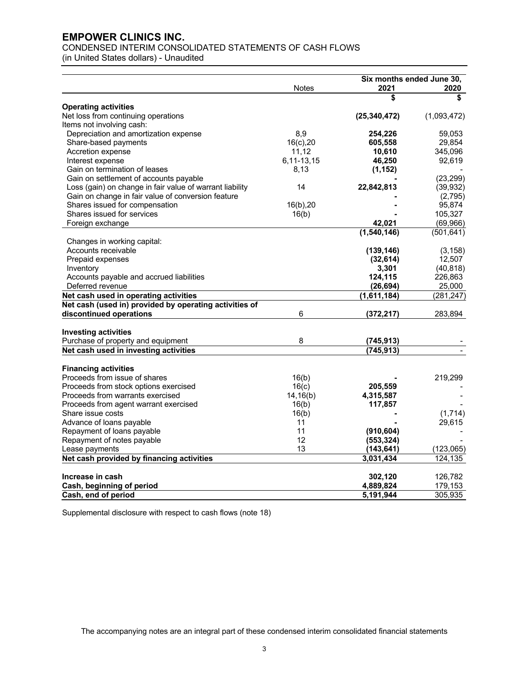# CONDENSED INTERIM CONSOLIDATED STATEMENTS OF CASH FLOWS

(in United States dollars) - Unaudited

|                                                               |              | Six months ended June 30, |                  |  |
|---------------------------------------------------------------|--------------|---------------------------|------------------|--|
|                                                               | <b>Notes</b> | 2021                      | 2020             |  |
|                                                               |              | \$                        | \$               |  |
| <b>Operating activities</b>                                   |              | (25, 340, 472)            |                  |  |
| Net loss from continuing operations                           |              |                           | (1,093,472)      |  |
| Items not involving cash:                                     | 8,9          | 254,226                   |                  |  |
| Depreciation and amortization expense<br>Share-based payments | $16(c)$ , 20 | 605,558                   | 59,053<br>29,854 |  |
| Accretion expense                                             | 11,12        | 10,610                    | 345,096          |  |
| Interest expense                                              | 6,11-13,15   | 46,250                    | 92,619           |  |
| Gain on termination of leases                                 | 8,13         | (1, 152)                  |                  |  |
| Gain on settlement of accounts payable                        |              |                           | (23, 299)        |  |
| Loss (gain) on change in fair value of warrant liability      | 14           | 22,842,813                | (39, 932)        |  |
| Gain on change in fair value of conversion feature            |              |                           | (2,795)          |  |
| Shares issued for compensation                                | $16(b)$ , 20 |                           | 95,874           |  |
| Shares issued for services                                    | 16(b)        |                           | 105,327          |  |
| Foreign exchange                                              |              | 42,021                    | (69,966)         |  |
|                                                               |              | (1,540,146)               | (501, 641)       |  |
| Changes in working capital:                                   |              |                           |                  |  |
| Accounts receivable                                           |              | (139, 146)                | (3, 158)         |  |
| Prepaid expenses                                              |              | (32, 614)                 | 12,507           |  |
| Inventory                                                     |              | 3,301                     | (40, 818)        |  |
| Accounts payable and accrued liabilities                      |              | 124,115                   | 226,863          |  |
| Deferred revenue                                              |              | (26, 694)                 | 25,000           |  |
| Net cash used in operating activities                         |              | (1,611,184)               | (281, 247)       |  |
| Net cash (used in) provided by operating activities of        |              |                           |                  |  |
| discontinued operations                                       | 6            | (372, 217)                | 283,894          |  |
|                                                               |              |                           |                  |  |
| <b>Investing activities</b>                                   |              |                           |                  |  |
| Purchase of property and equipment                            | 8            | (745, 913)                |                  |  |
| Net cash used in investing activities                         |              | (745, 913)                |                  |  |
| <b>Financing activities</b>                                   |              |                           |                  |  |
| Proceeds from issue of shares                                 | 16(b)        |                           | 219,299          |  |
| Proceeds from stock options exercised                         | 16(c)        | 205,559                   |                  |  |
| Proceeds from warrants exercised                              | 14,16(b)     | 4,315,587                 |                  |  |
| Proceeds from agent warrant exercised                         | 16(b)        | 117,857                   |                  |  |
| Share issue costs                                             | 16(b)        |                           | (1,714)          |  |
| Advance of loans payable                                      | 11           |                           | 29,615           |  |
| Repayment of loans payable                                    | 11           | (910, 604)                |                  |  |
| Repayment of notes payable                                    | 12           | (553, 324)                |                  |  |
| Lease payments                                                | 13           | (143, 641)                | (123,065)        |  |
| Net cash provided by financing activities                     |              | 3,031,434                 | 124,135          |  |
|                                                               |              |                           |                  |  |
| Increase in cash                                              |              | 302,120                   | 126,782          |  |
| Cash, beginning of period                                     |              | 4,889,824                 | 179,153          |  |
| Cash, end of period                                           |              | 5,191,944                 | 305,935          |  |

Supplemental disclosure with respect to cash flows (note 18)

The accompanying notes are an integral part of these condensed interim consolidated financial statements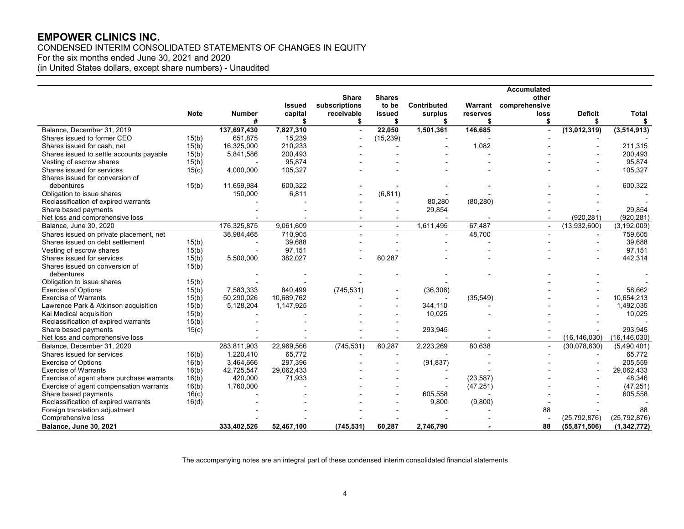CONDENSED INTERIM CONSOLIDATED STATEMENTS OF CHANGES IN EQUITY For the six months ended June 30, 2021 and 2020 (in United States dollars, except share numbers) - Unaudited

|                                           |             |                    |               |                          |                          |               |                | <b>Accumulated</b>       |                      |                    |
|-------------------------------------------|-------------|--------------------|---------------|--------------------------|--------------------------|---------------|----------------|--------------------------|----------------------|--------------------|
|                                           |             |                    |               | <b>Share</b>             | <b>Shares</b>            |               |                | other                    |                      |                    |
|                                           |             |                    | Issued        | subscriptions            | to be                    | Contributed   | Warrant        | comprehensive            |                      |                    |
|                                           | <b>Note</b> | <b>Number</b><br># | capital<br>\$ | receivable<br>\$         | issued<br>\$             | surplus<br>S. | reserves<br>\$ | loss<br>\$               | <b>Deficit</b><br>\$ | <b>Total</b><br>\$ |
| Balance, December 31, 2019                |             | 137,697,430        | 7,827,310     | $\overline{a}$           | 22,050                   | 1,501,361     | 146,685        |                          | (13,012,319)         | (3, 514, 913)      |
| Shares issued to former CEO               | 15(b)       | 651,875            | 15,239        |                          | (15, 239)                |               |                |                          |                      |                    |
| Shares issued for cash, net               | 15(b)       | 16,325,000         | 210,233       |                          |                          |               | 1,082          |                          |                      | 211,315            |
| Shares issued to settle accounts payable  | 15(b)       | 5,841,586          | 200,493       |                          |                          |               |                |                          |                      | 200,493            |
| Vesting of escrow shares                  | 15(b)       |                    | 95,874        |                          |                          |               |                |                          |                      | 95,874             |
| Shares issued for services                | 15(c)       | 4,000,000          | 105,327       |                          |                          |               |                |                          |                      | 105,327            |
| Shares issued for conversion of           |             |                    |               |                          |                          |               |                |                          |                      |                    |
| debentures                                | 15(b)       | 11,659,984         | 600,322       |                          |                          |               |                |                          |                      | 600,322            |
| Obligation to issue shares                |             | 150,000            | 6,811         |                          | (6, 811)                 |               |                |                          |                      |                    |
| Reclassification of expired warrants      |             |                    |               |                          |                          | 80,280        | (80, 280)      |                          |                      |                    |
| Share based payments                      |             |                    |               |                          |                          | 29,854        |                |                          |                      | 29,854             |
| Net loss and comprehensive loss           |             |                    |               |                          |                          |               |                |                          | (920, 281)           | (920, 281)         |
| Balance, June 30, 2020                    |             | 176,325,875        | 9,061,609     | $\overline{\phantom{a}}$ | $\overline{\phantom{a}}$ | 1,611,495     | 67,487         | $\overline{\phantom{a}}$ | (13,932,600)         | (3, 192, 009)      |
| Shares issued on private placement, net   |             | 38,984,465         | 710,905       |                          |                          |               | 48,700         | $\overline{\phantom{a}}$ | $\blacksquare$       | 759,605            |
| Shares issued on debt settlement          | 15(b)       |                    | 39,688        |                          |                          |               |                |                          |                      | 39,688             |
| Vesting of escrow shares                  | 15(b)       |                    | 97,151        |                          |                          |               |                |                          |                      | 97,151             |
| Shares issued for services                | 15(b)       | 5,500,000          | 382,027       |                          | 60,287                   |               |                |                          |                      | 442,314            |
| Shares issued on conversion of            | 15(b)       |                    |               |                          |                          |               |                |                          |                      |                    |
| debentures                                |             |                    |               |                          |                          |               |                |                          |                      |                    |
| Obligation to issue shares                | 15(b)       |                    |               |                          |                          |               |                |                          |                      |                    |
| <b>Exercise of Options</b>                | 15(b)       | 7,583,333          | 840,499       | (745, 531)               |                          | (36, 306)     |                |                          |                      | 58,662             |
| <b>Exercise of Warrants</b>               | 15(b)       | 50,290,026         | 10,689,762    |                          |                          |               | (35, 549)      |                          |                      | 10,654,213         |
| Lawrence Park & Atkinson acquisition      | 15(b)       | 5,128,204          | 1,147,925     |                          |                          | 344,110       |                |                          |                      | 1,492,035          |
| Kai Medical acquisition                   | 15(b)       |                    |               |                          |                          | 10,025        |                |                          |                      | 10,025             |
| Reclassification of expired warrants      | 15(b)       |                    |               |                          |                          |               |                |                          |                      |                    |
| Share based payments                      | 15(c)       |                    |               |                          |                          | 293,945       |                |                          |                      | 293,945            |
| Net loss and comprehensive loss           |             |                    |               |                          |                          |               |                |                          | (16, 146, 030)       | (16, 146, 030)     |
| Balance, December 31, 2020                |             | 283,811,903        | 22,969,566    | (745, 531)               | 60.287                   | 2.223.269     | 80.638         | $\overline{\phantom{a}}$ | (30,078,630)         | (5,490,401)        |
| Shares issued for services                | 16(b)       | 1,220,410          | 65,772        |                          |                          |               |                |                          |                      | 65,772             |
| <b>Exercise of Options</b>                | 16(b)       | 3,464,666          | 297,396       |                          |                          | (91, 837)     |                |                          |                      | 205,559            |
| <b>Exercise of Warrants</b>               | 16(b)       | 42,725,547         | 29,062,433    |                          |                          |               |                |                          |                      | 29,062,433         |
| Exercise of agent share purchase warrants | 16(b)       | 420,000            | 71,933        |                          |                          |               | (23, 587)      |                          |                      | 48,346             |
| Exercise of agent compensation warrants   | 16(b)       | 1,760,000          |               |                          |                          |               | (47, 251)      |                          |                      | (47, 251)          |
| Share based payments                      | 16(c)       |                    |               |                          |                          | 605,558       |                |                          |                      | 605,558            |
| Reclassification of expired warrants      | 16(d)       |                    |               |                          |                          | 9,800         | (9,800)        |                          |                      |                    |
| Foreign translation adjustment            |             |                    |               |                          |                          |               |                | 88                       |                      | 88                 |
| Comprehensive loss                        |             |                    |               |                          |                          |               |                |                          | (25, 792, 876)       | (25, 792, 876)     |
| <b>Balance, June 30, 2021</b>             |             | 333,402,526        | 52,467,100    | (745, 531)               | 60,287                   | 2,746,790     | $\overline{a}$ | 88                       | (55, 871, 506)       | (1, 342, 772)      |

The accompanying notes are an integral part of these condensed interim consolidated financial statements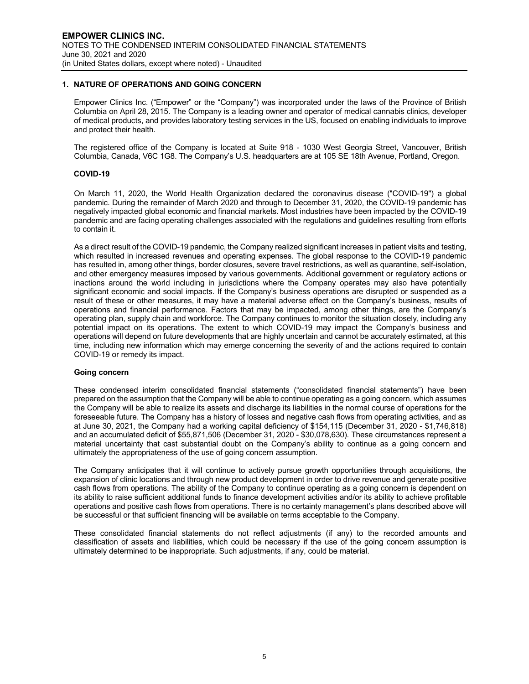# **1. NATURE OF OPERATIONS AND GOING CONCERN**

Empower Clinics Inc. ("Empower" or the "Company") was incorporated under the laws of the Province of British Columbia on April 28, 2015. The Company is a leading owner and operator of medical cannabis clinics, developer of medical products, and provides laboratory testing services in the US, focused on enabling individuals to improve and protect their health.

The registered office of the Company is located at Suite 918 - 1030 West Georgia Street, Vancouver, British Columbia, Canada, V6C 1G8. The Company's U.S. headquarters are at 105 SE 18th Avenue, Portland, Oregon.

#### **COVID-19**

On March 11, 2020, the World Health Organization declared the coronavirus disease ("COVID-19") a global pandemic. During the remainder of March 2020 and through to December 31, 2020, the COVID-19 pandemic has negatively impacted global economic and financial markets. Most industries have been impacted by the COVID-19 pandemic and are facing operating challenges associated with the regulations and guidelines resulting from efforts to contain it.

As a direct result of the COVID-19 pandemic, the Company realized significant increases in patient visits and testing, which resulted in increased revenues and operating expenses. The global response to the COVID-19 pandemic has resulted in, among other things, border closures, severe travel restrictions, as well as quarantine, self-isolation, and other emergency measures imposed by various governments. Additional government or regulatory actions or inactions around the world including in jurisdictions where the Company operates may also have potentially significant economic and social impacts. If the Company's business operations are disrupted or suspended as a result of these or other measures, it may have a material adverse effect on the Company's business, results of operations and financial performance. Factors that may be impacted, among other things, are the Company's operating plan, supply chain and workforce. The Company continues to monitor the situation closely, including any potential impact on its operations. The extent to which COVID-19 may impact the Company's business and operations will depend on future developments that are highly uncertain and cannot be accurately estimated, at this time, including new information which may emerge concerning the severity of and the actions required to contain COVID-19 or remedy its impact.

#### **Going concern**

These condensed interim consolidated financial statements ("consolidated financial statements") have been prepared on the assumption that the Company will be able to continue operating as a going concern, which assumes the Company will be able to realize its assets and discharge its liabilities in the normal course of operations for the foreseeable future. The Company has a history of losses and negative cash flows from operating activities, and as at June 30, 2021, the Company had a working capital deficiency of \$154,115 (December 31, 2020 - \$1,746,818) and an accumulated deficit of \$55,871,506 (December 31, 2020 - \$30,078,630). These circumstances represent a material uncertainty that cast substantial doubt on the Company's ability to continue as a going concern and ultimately the appropriateness of the use of going concern assumption.

The Company anticipates that it will continue to actively pursue growth opportunities through acquisitions, the expansion of clinic locations and through new product development in order to drive revenue and generate positive cash flows from operations. The ability of the Company to continue operating as a going concern is dependent on its ability to raise sufficient additional funds to finance development activities and/or its ability to achieve profitable operations and positive cash flows from operations. There is no certainty management's plans described above will be successful or that sufficient financing will be available on terms acceptable to the Company.

These consolidated financial statements do not reflect adjustments (if any) to the recorded amounts and classification of assets and liabilities, which could be necessary if the use of the going concern assumption is ultimately determined to be inappropriate. Such adjustments, if any, could be material.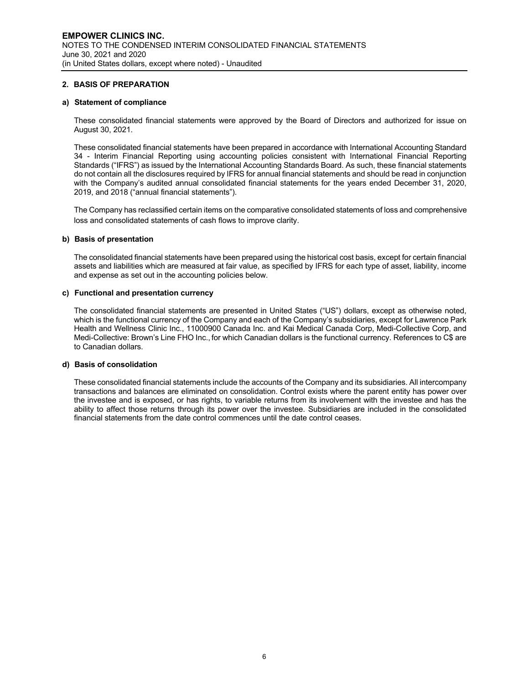# **2. BASIS OF PREPARATION**

#### **a) Statement of compliance**

These consolidated financial statements were approved by the Board of Directors and authorized for issue on August 30, 2021.

These consolidated financial statements have been prepared in accordance with International Accounting Standard 34 - Interim Financial Reporting using accounting policies consistent with International Financial Reporting Standards ("IFRS") as issued by the International Accounting Standards Board. As such, these financial statements do not contain all the disclosures required by IFRS for annual financial statements and should be read in conjunction with the Company's audited annual consolidated financial statements for the years ended December 31, 2020, 2019, and 2018 ("annual financial statements").

The Company has reclassified certain items on the comparative consolidated statements of loss and comprehensive loss and consolidated statements of cash flows to improve clarity.

#### **b) Basis of presentation**

The consolidated financial statements have been prepared using the historical cost basis, except for certain financial assets and liabilities which are measured at fair value, as specified by IFRS for each type of asset, liability, income and expense as set out in the accounting policies below.

#### **c) Functional and presentation currency**

The consolidated financial statements are presented in United States ("US") dollars, except as otherwise noted, which is the functional currency of the Company and each of the Company's subsidiaries, except for Lawrence Park Health and Wellness Clinic Inc., 11000900 Canada Inc. and Kai Medical Canada Corp, Medi-Collective Corp, and Medi-Collective: Brown's Line FHO Inc., for which Canadian dollars is the functional currency. References to C\$ are to Canadian dollars.

#### **d) Basis of consolidation**

These consolidated financial statements include the accounts of the Company and its subsidiaries. All intercompany transactions and balances are eliminated on consolidation. Control exists where the parent entity has power over the investee and is exposed, or has rights, to variable returns from its involvement with the investee and has the ability to affect those returns through its power over the investee. Subsidiaries are included in the consolidated financial statements from the date control commences until the date control ceases.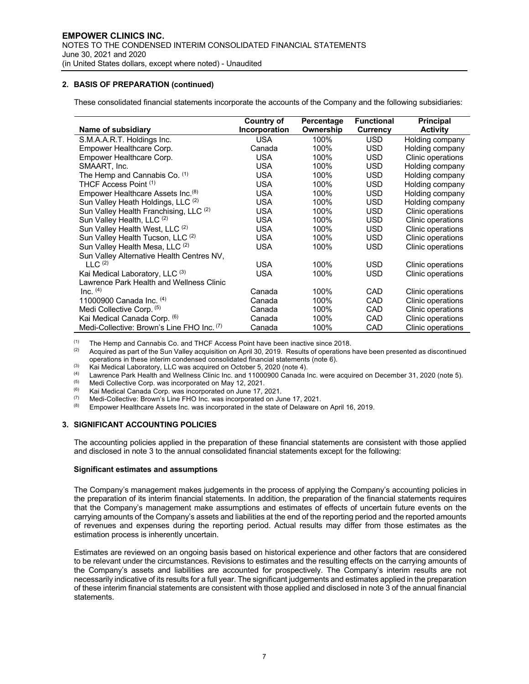# **2. BASIS OF PREPARATION (continued)**

These consolidated financial statements incorporate the accounts of the Company and the following subsidiaries:

|                                               | <b>Country of</b> | Percentage | <b>Functional</b> | <b>Principal</b>  |
|-----------------------------------------------|-------------------|------------|-------------------|-------------------|
| Name of subsidiary                            | Incorporation     | Ownership  | <b>Currency</b>   | Activity          |
| S.M.A.A.R.T. Holdings Inc.                    | <b>USA</b>        | 100%       | <b>USD</b>        | Holding company   |
| Empower Healthcare Corp.                      | Canada            | 100%       | <b>USD</b>        | Holding company   |
| Empower Healthcare Corp.                      | <b>USA</b>        | 100%       | <b>USD</b>        | Clinic operations |
| SMAART, Inc.                                  | <b>USA</b>        | 100%       | <b>USD</b>        | Holding company   |
| The Hemp and Cannabis Co. (1)                 | <b>USA</b>        | 100%       | <b>USD</b>        | Holding company   |
| THCF Access Point (1)                         | <b>USA</b>        | 100%       | <b>USD</b>        | Holding company   |
| Empower Healthcare Assets Inc. <sup>(8)</sup> | <b>USA</b>        | 100%       | <b>USD</b>        | Holding company   |
| Sun Valley Heath Holdings, LLC (2)            | <b>USA</b>        | 100%       | <b>USD</b>        | Holding company   |
| Sun Valley Health Franchising, LLC (2)        | USA               | 100%       | <b>USD</b>        | Clinic operations |
| Sun Valley Health, LLC (2)                    | <b>USA</b>        | 100%       | <b>USD</b>        | Clinic operations |
| Sun Valley Health West, LLC (2)               | <b>USA</b>        | 100%       | <b>USD</b>        | Clinic operations |
| Sun Valley Health Tucson, LLC (2)             | <b>USA</b>        | 100%       | <b>USD</b>        | Clinic operations |
| Sun Valley Health Mesa, LLC <sup>(2)</sup>    | <b>USA</b>        | 100%       | <b>USD</b>        | Clinic operations |
| Sun Valley Alternative Health Centres NV,     |                   |            |                   |                   |
| LLC <sup>(2)</sup>                            | <b>USA</b>        | 100%       | <b>USD</b>        | Clinic operations |
| Kai Medical Laboratory, LLC <sup>(3)</sup>    | <b>USA</b>        | 100%       | <b>USD</b>        | Clinic operations |
| Lawrence Park Health and Wellness Clinic      |                   |            |                   |                   |
| Inc. $(4)$                                    | Canada            | 100%       | CAD               | Clinic operations |
| 11000900 Canada Inc. (4)                      | Canada            | 100%       | CAD               | Clinic operations |
| Medi Collective Corp. (5)                     | Canada            | 100%       | CAD               | Clinic operations |
| Kai Medical Canada Corp. (6)                  | Canada            | 100%       | CAD               | Clinic operations |
| Medi-Collective: Brown's Line FHO Inc. (7)    | Canada            | 100%       | CAD               | Clinic operations |

(1) The Hemp and Cannabis Co. and THCF Access Point have been inactive since 2018.

Acquired as part of the Sun Valley acquisition on April 30, 2019. Results of operations have been presented as discontinued operations in these interim condensed consolidated financial statements (note 6).

(3) Kai Medical Laboratory, LLC was acquired on October 5, 2020 (note 4).<br>(4) Lawrence Bark Health and Wellness Clinic Ipe, and 11000000 Capada L

(4) Lawrence Park Health and Wellness Clinic Inc. and 11000900 Canada Inc. were acquired on December 31, 2020 (note 5).

(5) Medi Collective Corp. was incorporated on May 12, 2021.<br>(6) Kai Medical Canada Corp. was incorporated on June 17.

(6) Kai Medical Canada Corp. was incorporated on June 17, 2021.

 $\frac{(7)}{(8)}$  Medi-Collective: Brown's Line FHO Inc. was incorporated on June 17, 2021.

Empower Healthcare Assets Inc. was incorporated in the state of Delaware on April 16, 2019.

# **3. SIGNIFICANT ACCOUNTING POLICIES**

The accounting policies applied in the preparation of these financial statements are consistent with those applied and disclosed in note 3 to the annual consolidated financial statements except for the following:

# **Significant estimates and assumptions**

The Company's management makes judgements in the process of applying the Company's accounting policies in the preparation of its interim financial statements. In addition, the preparation of the financial statements requires that the Company's management make assumptions and estimates of effects of uncertain future events on the carrying amounts of the Company's assets and liabilities at the end of the reporting period and the reported amounts of revenues and expenses during the reporting period. Actual results may differ from those estimates as the estimation process is inherently uncertain.

Estimates are reviewed on an ongoing basis based on historical experience and other factors that are considered to be relevant under the circumstances. Revisions to estimates and the resulting effects on the carrying amounts of the Company's assets and liabilities are accounted for prospectively. The Company's interim results are not necessarily indicative of its results for a full year. The significant judgements and estimates applied in the preparation of these interim financial statements are consistent with those applied and disclosed in note 3 of the annual financial statements.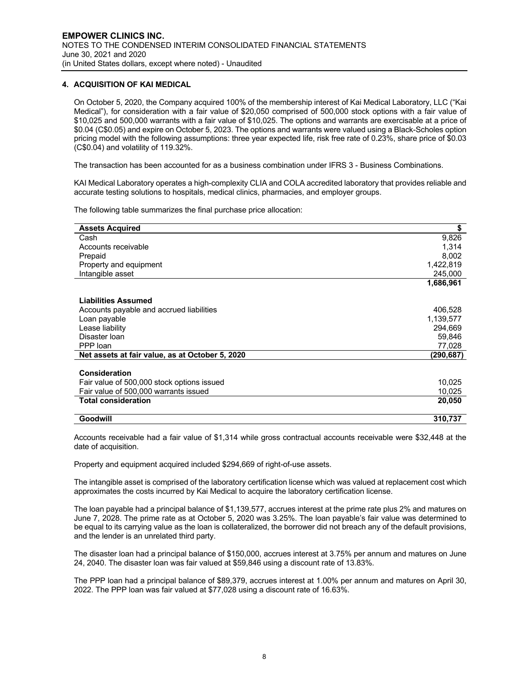# **4. ACQUISITION OF KAI MEDICAL**

On October 5, 2020, the Company acquired 100% of the membership interest of Kai Medical Laboratory, LLC ("Kai Medical"), for consideration with a fair value of \$20,050 comprised of 500,000 stock options with a fair value of \$10,025 and 500,000 warrants with a fair value of \$10,025. The options and warrants are exercisable at a price of \$0.04 (C\$0.05) and expire on October 5, 2023. The options and warrants were valued using a Black-Scholes option pricing model with the following assumptions: three year expected life, risk free rate of 0.23%, share price of \$0.03 (C\$0.04) and volatility of 119.32%.

The transaction has been accounted for as a business combination under IFRS 3 - Business Combinations.

KAI Medical Laboratory operates a high-complexity CLIA and COLA accredited laboratory that provides reliable and accurate testing solutions to hospitals, medical clinics, pharmacies, and employer groups.

The following table summarizes the final purchase price allocation:

| <b>Assets Acquired</b>                          | \$        |
|-------------------------------------------------|-----------|
| Cash                                            | 9,826     |
| Accounts receivable                             | 1,314     |
| Prepaid                                         | 8,002     |
| Property and equipment                          | 1,422,819 |
| Intangible asset                                | 245,000   |
|                                                 | 1,686,961 |
| <b>Liabilities Assumed</b>                      |           |
| Accounts payable and accrued liabilities        | 406,528   |
| Loan payable                                    | 1,139,577 |
| Lease liability                                 | 294,669   |
| Disaster Ioan                                   | 59,846    |
| PPP loan                                        | 77,028    |
| Net assets at fair value, as at October 5, 2020 | (290,687) |
|                                                 |           |
| <b>Consideration</b>                            |           |
| Fair value of 500,000 stock options issued      | 10,025    |
| Fair value of 500,000 warrants issued           | 10,025    |
| <b>Total consideration</b>                      | 20,050    |
| Goodwill                                        | 310,737   |

Accounts receivable had a fair value of \$1,314 while gross contractual accounts receivable were \$32,448 at the date of acquisition.

Property and equipment acquired included \$294,669 of right-of-use assets.

The intangible asset is comprised of the laboratory certification license which was valued at replacement cost which approximates the costs incurred by Kai Medical to acquire the laboratory certification license.

The loan payable had a principal balance of \$1,139,577, accrues interest at the prime rate plus 2% and matures on June 7, 2028. The prime rate as at October 5, 2020 was 3.25%. The loan payable's fair value was determined to be equal to its carrying value as the loan is collateralized, the borrower did not breach any of the default provisions, and the lender is an unrelated third party.

The disaster loan had a principal balance of \$150,000, accrues interest at 3.75% per annum and matures on June 24, 2040. The disaster loan was fair valued at \$59,846 using a discount rate of 13.83%.

The PPP loan had a principal balance of \$89,379, accrues interest at 1.00% per annum and matures on April 30, 2022. The PPP loan was fair valued at \$77,028 using a discount rate of 16.63%.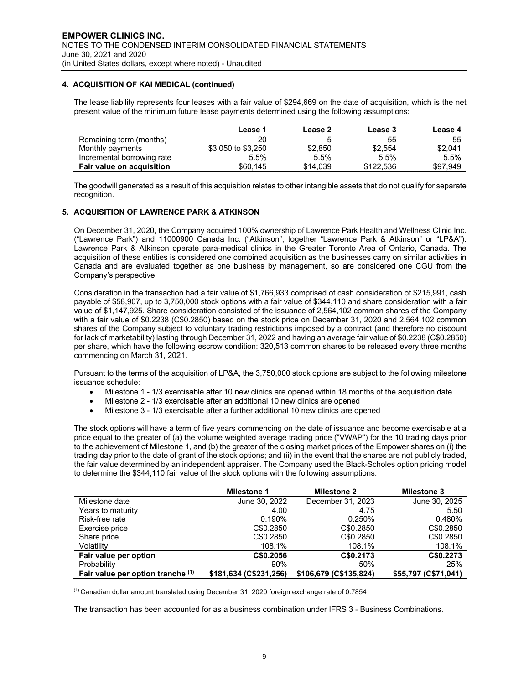# **4. ACQUISITION OF KAI MEDICAL (continued)**

The lease liability represents four leases with a fair value of \$294,669 on the date of acquisition, which is the net present value of the minimum future lease payments determined using the following assumptions:

|                                  | Lease 1            | Lease 2  | Lease 3   | Lease 4  |
|----------------------------------|--------------------|----------|-----------|----------|
| Remaining term (months)          | 20                 |          | 55        | 55       |
| Monthly payments                 | \$3,050 to \$3,250 | \$2,850  | \$2,554   | \$2,041  |
| Incremental borrowing rate       | $5.5\%$            | 5.5%     | 5.5%      | 5.5%     |
| <b>Fair value on acquisition</b> | \$60.145           | \$14,039 | \$122,536 | \$97,949 |

The goodwill generated as a result of this acquisition relates to other intangible assets that do not qualify for separate recognition.

# **5. ACQUISITION OF LAWRENCE PARK & ATKINSON**

On December 31, 2020, the Company acquired 100% ownership of Lawrence Park Health and Wellness Clinic Inc. ("Lawrence Park") and 11000900 Canada Inc. ("Atkinson", together "Lawrence Park & Atkinson" or "LP&A"). Lawrence Park & Atkinson operate para-medical clinics in the Greater Toronto Area of Ontario, Canada. The acquisition of these entities is considered one combined acquisition as the businesses carry on similar activities in Canada and are evaluated together as one business by management, so are considered one CGU from the Company's perspective.

Consideration in the transaction had a fair value of \$1,766,933 comprised of cash consideration of \$215,991, cash payable of \$58,907, up to 3,750,000 stock options with a fair value of \$344,110 and share consideration with a fair value of \$1,147,925. Share consideration consisted of the issuance of 2,564,102 common shares of the Company with a fair value of \$0.2238 (C\$0.2850) based on the stock price on December 31, 2020 and 2,564,102 common shares of the Company subject to voluntary trading restrictions imposed by a contract (and therefore no discount for lack of marketability) lasting through December 31, 2022 and having an average fair value of \$0.2238 (C\$0.2850) per share, which have the following escrow condition: 320,513 common shares to be released every three months commencing on March 31, 2021.

Pursuant to the terms of the acquisition of LP&A, the 3,750,000 stock options are subject to the following milestone issuance schedule:

- Milestone 1 1/3 exercisable after 10 new clinics are opened within 18 months of the acquisition date
- Milestone 2 1/3 exercisable after an additional 10 new clinics are opened
- Milestone 3 1/3 exercisable after a further additional 10 new clinics are opened

The stock options will have a term of five years commencing on the date of issuance and become exercisable at a price equal to the greater of (a) the volume weighted average trading price ("VWAP") for the 10 trading days prior to the achievement of Milestone 1, and (b) the greater of the closing market prices of the Empower shares on (i) the trading day prior to the date of grant of the stock options; and (ii) in the event that the shares are not publicly traded, the fair value determined by an independent appraiser. The Company used the Black-Scholes option pricing model to determine the \$344,110 fair value of the stock options with the following assumptions:

|                                   | <b>Milestone 1</b>     | <b>Milestone 2</b>     | <b>Milestone 3</b>   |
|-----------------------------------|------------------------|------------------------|----------------------|
| Milestone date                    | June 30, 2022          | December 31, 2023      | June 30, 2025        |
| Years to maturity                 | 4.00                   | 4.75                   | 5.50                 |
| Risk-free rate                    | $0.190\%$              | 0.250%                 | 0.480%               |
| Exercise price                    | C\$0,2850              | C\$0,2850              | C\$0.2850            |
| Share price                       | C\$0.2850              | C\$0,2850              | C\$0.2850            |
| Volatility                        | 108.1%                 | 108.1%                 | 108.1%               |
| Fair value per option             | C\$0,2056              | C\$0,2173              | C\$0,2273            |
| Probability                       | 90%                    | 50%                    | 25%                  |
| Fair value per option tranche (1) | \$181,634 (C\$231,256) | \$106,679 (C\$135,824) | \$55,797 (C\$71,041) |

 $<sup>(1)</sup>$  Canadian dollar amount translated using December 31, 2020 foreign exchange rate of 0.7854</sup>

The transaction has been accounted for as a business combination under IFRS 3 - Business Combinations.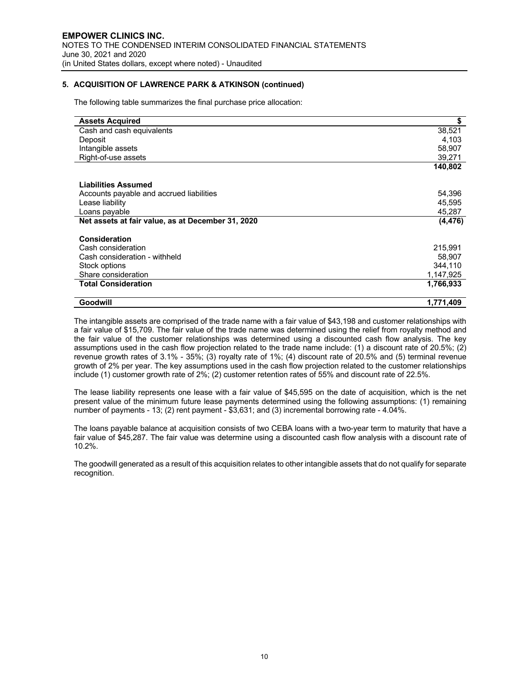# **5. ACQUISITION OF LAWRENCE PARK & ATKINSON (continued)**

The following table summarizes the final purchase price allocation:

| <b>Assets Acquired</b>                            | \$        |
|---------------------------------------------------|-----------|
| Cash and cash equivalents                         | 38,521    |
| Deposit                                           | 4,103     |
| Intangible assets                                 | 58,907    |
| Right-of-use assets                               | 39,271    |
|                                                   | 140,802   |
| <b>Liabilities Assumed</b>                        |           |
| Accounts payable and accrued liabilities          | 54,396    |
| Lease liability                                   | 45,595    |
| Loans payable                                     | 45,287    |
| Net assets at fair value, as at December 31, 2020 | (4, 476)  |
| <b>Consideration</b>                              |           |
| Cash consideration                                | 215,991   |
| Cash consideration - withheld                     | 58,907    |
| Stock options                                     | 344,110   |
| Share consideration                               | 1,147,925 |
| <b>Total Consideration</b>                        | 1,766,933 |
| Goodwill                                          | 1,771,409 |

The intangible assets are comprised of the trade name with a fair value of \$43,198 and customer relationships with a fair value of \$15,709. The fair value of the trade name was determined using the relief from royalty method and the fair value of the customer relationships was determined using a discounted cash flow analysis. The key assumptions used in the cash flow projection related to the trade name include: (1) a discount rate of 20.5%; (2) revenue growth rates of 3.1% - 35%; (3) royalty rate of 1%; (4) discount rate of 20.5% and (5) terminal revenue growth of 2% per year. The key assumptions used in the cash flow projection related to the customer relationships include (1) customer growth rate of 2%; (2) customer retention rates of 55% and discount rate of 22.5%.

The lease liability represents one lease with a fair value of \$45,595 on the date of acquisition, which is the net present value of the minimum future lease payments determined using the following assumptions: (1) remaining number of payments - 13; (2) rent payment - \$3,631; and (3) incremental borrowing rate - 4.04%.

The loans payable balance at acquisition consists of two CEBA loans with a two-year term to maturity that have a fair value of \$45,287. The fair value was determine using a discounted cash flow analysis with a discount rate of 10.2%.

The goodwill generated as a result of this acquisition relates to other intangible assets that do not qualify for separate recognition.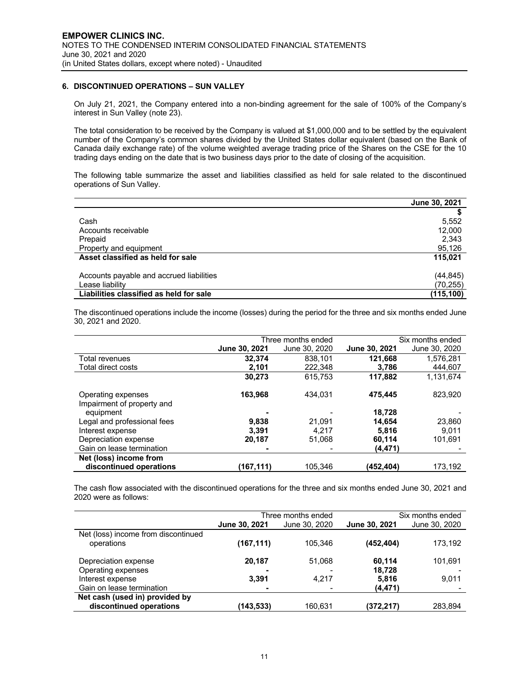# **6. DISCONTINUED OPERATIONS – SUN VALLEY**

On July 21, 2021, the Company entered into a non-binding agreement for the sale of 100% of the Company's interest in Sun Valley (note 23).

The total consideration to be received by the Company is valued at \$1,000,000 and to be settled by the equivalent number of the Company's common shares divided by the United States dollar equivalent (based on the Bank of Canada daily exchange rate) of the volume weighted average trading price of the Shares on the CSE for the 10 trading days ending on the date that is two business days prior to the date of closing of the acquisition.

The following table summarize the asset and liabilities classified as held for sale related to the discontinued operations of Sun Valley.

|                                          | June 30, 2021 |
|------------------------------------------|---------------|
|                                          |               |
| Cash                                     | 5,552         |
| Accounts receivable                      | 12,000        |
| Prepaid                                  | 2,343         |
| Property and equipment                   | 95,126        |
| Asset classified as held for sale        | 115.021       |
| Accounts payable and accrued liabilities | (44, 845)     |
| Lease liability                          | (70, 255)     |
| Liabilities classified as held for sale  | (115, 100)    |

The discontinued operations include the income (losses) during the period for the three and six months ended June 30, 2021 and 2020.

|                                                  |               | Three months ended |                      | Six months ended |
|--------------------------------------------------|---------------|--------------------|----------------------|------------------|
|                                                  | June 30, 2021 | June 30, 2020      | <b>June 30, 2021</b> | June 30, 2020    |
| Total revenues                                   | 32.374        | 838.101            | 121.668              | 1.576.281        |
| Total direct costs                               | 2.101         | 222.348            | 3,786                | 444.607          |
|                                                  | 30,273        | 615.753            | 117,882              | 1,131,674        |
| Operating expenses<br>Impairment of property and | 163,968       | 434.031            | 475,445              | 823.920          |
| equipment                                        |               |                    | 18,728               |                  |
| Legal and professional fees                      | 9.838         | 21.091             | 14.654               | 23,860           |
| Interest expense                                 | 3.391         | 4.217              | 5.816                | 9.011            |
| Depreciation expense                             | 20,187        | 51.068             | 60,114               | 101,691          |
| Gain on lease termination                        |               |                    | (4, 471)             |                  |
| Net (loss) income from                           |               |                    |                      |                  |
| discontinued operations                          | (167,111)     | 105.346            | (452,404)            | 173,192          |

The cash flow associated with the discontinued operations for the three and six months ended June 30, 2021 and 2020 were as follows:

|                                     |               | Three months ended |               | Six months ended |
|-------------------------------------|---------------|--------------------|---------------|------------------|
|                                     | June 30, 2021 | June 30, 2020      | June 30, 2021 | June 30, 2020    |
| Net (loss) income from discontinued |               |                    |               |                  |
| operations                          | (167,111)     | 105.346            | (452, 404)    | 173,192          |
| Depreciation expense                | 20,187        | 51.068             | 60.114        | 101,691          |
| Operating expenses                  |               |                    | 18,728        |                  |
| Interest expense                    | 3.391         | 4.217              | 5,816         | 9,011            |
| Gain on lease termination           |               |                    | (4, 471)      |                  |
| Net cash (used in) provided by      |               |                    |               |                  |
| discontinued operations             | (143,533)     | 160,631            | (372,217)     | 283.894          |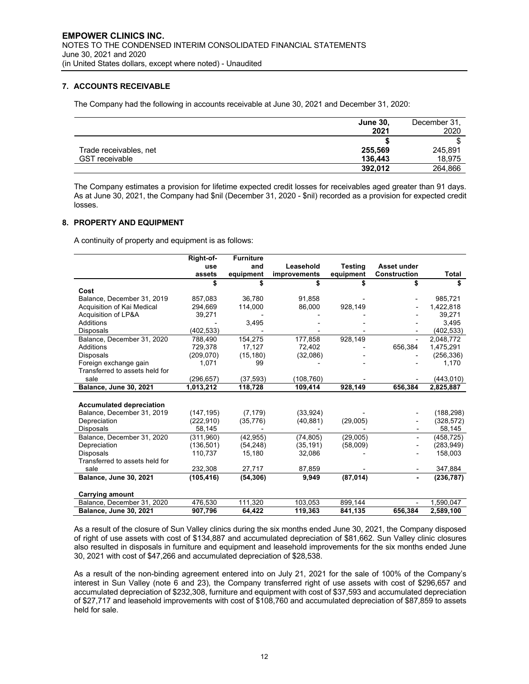# **7. ACCOUNTS RECEIVABLE**

The Company had the following in accounts receivable at June 30, 2021 and December 31, 2020:

|                        | <b>June 30,</b><br>2021 | December 31,<br>2020 |
|------------------------|-------------------------|----------------------|
|                        |                         |                      |
| Trade receivables, net | 255,569                 | 245,891              |
| <b>GST</b> receivable  | 136,443                 | 18,975               |
|                        | 392.012                 | 264,866              |

The Company estimates a provision for lifetime expected credit losses for receivables aged greater than 91 days. As at June 30, 2021, the Company had \$nil (December 31, 2020 - \$nil) recorded as a provision for expected credit losses.

#### **8. PROPERTY AND EQUIPMENT**

A continuity of property and equipment is as follows:

|                                 | Right-of-  | <b>Furniture</b> |              |                |                          |            |
|---------------------------------|------------|------------------|--------------|----------------|--------------------------|------------|
|                                 | use        | and              | Leasehold    | <b>Testing</b> | Asset under              |            |
|                                 | assets     | equipment        | improvements | equipment      | <b>Construction</b>      | Total      |
|                                 | \$         | \$               | \$           |                | \$                       | \$         |
| Cost                            |            |                  |              |                |                          |            |
| Balance, December 31, 2019      | 857,083    | 36,780           | 91,858       |                |                          | 985,721    |
| Acquisition of Kai Medical      | 294,669    | 114,000          | 86,000       | 928,149        |                          | 1,422,818  |
| Acquisition of LP&A             | 39,271     |                  |              |                |                          | 39,271     |
| Additions                       |            | 3,495            |              |                |                          | 3,495      |
| <b>Disposals</b>                | (402, 533) |                  |              |                |                          | (402, 533) |
| Balance, December 31, 2020      | 788,490    | 154,275          | 177,858      | 928,149        | $\overline{\phantom{a}}$ | 2,048,772  |
| Additions                       | 729,378    | 17,127           | 72,402       |                | 656,384                  | 1,475,291  |
| <b>Disposals</b>                | (209,070)  | (15, 180)        | (32,086)     |                |                          | (256, 336) |
| Foreign exchange gain           | 1,071      | 99               |              |                |                          | 1,170      |
| Transferred to assets held for  |            |                  |              |                |                          |            |
| sale                            | (296, 657) | (37, 593)        | (108,760)    |                |                          | (443, 010) |
| <b>Balance, June 30, 2021</b>   | 1,013,212  | 118,728          | 109,414      | 928,149        | 656,384                  | 2,825,887  |
|                                 |            |                  |              |                |                          |            |
| <b>Accumulated depreciation</b> |            |                  |              |                |                          |            |
| Balance, December 31, 2019      | (147, 195) | (7, 179)         | (33, 924)    |                |                          | (188, 298) |
| Depreciation                    | (222, 910) | (35, 776)        | (40, 881)    | (29,005)       |                          | (328, 572) |
| <b>Disposals</b>                | 58,145     |                  |              |                |                          | 58,145     |
| Balance, December 31, 2020      | (311,960)  | (42, 955)        | (74, 805)    | (29,005)       | ٠                        | (458, 725) |
| Depreciation                    | (136, 501) | (54, 248)        | (35, 191)    | (58,009)       |                          | (283, 949) |
| <b>Disposals</b>                | 110,737    | 15,180           | 32,086       |                |                          | 158,003    |
| Transferred to assets held for  |            |                  |              |                |                          |            |
| sale                            | 232,308    | 27,717           | 87,859       |                |                          | 347,884    |
| <b>Balance, June 30, 2021</b>   | (105, 416) | (54, 306)        | 9,949        | (87, 014)      |                          | (236, 787) |
|                                 |            |                  |              |                |                          |            |
| <b>Carrying amount</b>          |            |                  |              |                |                          |            |
| Balance, December 31, 2020      | 476,530    | 111,320          | 103,053      | 899,144        |                          | 1,590,047  |
| <b>Balance, June 30, 2021</b>   | 907,796    | 64.422           | 119,363      | 841,135        | 656.384                  | 2,589,100  |

As a result of the closure of Sun Valley clinics during the six months ended June 30, 2021, the Company disposed of right of use assets with cost of \$134,887 and accumulated depreciation of \$81,662. Sun Valley clinic closures also resulted in disposals in furniture and equipment and leasehold improvements for the six months ended June 30, 2021 with cost of \$47,266 and accumulated depreciation of \$28,538.

As a result of the non-binding agreement entered into on July 21, 2021 for the sale of 100% of the Company's interest in Sun Valley (note 6 and 23), the Company transferred right of use assets with cost of \$296,657 and accumulated depreciation of \$232,308, furniture and equipment with cost of \$37,593 and accumulated depreciation of \$27,717 and leasehold improvements with cost of \$108,760 and accumulated depreciation of \$87,859 to assets held for sale.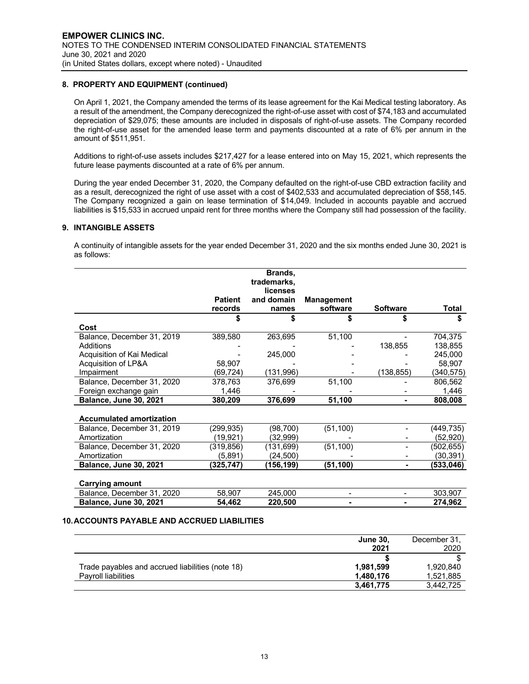# **8. PROPERTY AND EQUIPMENT (continued)**

On April 1, 2021, the Company amended the terms of its lease agreement for the Kai Medical testing laboratory. As a result of the amendment, the Company derecognized the right-of-use asset with cost of \$74,183 and accumulated depreciation of \$29,075; these amounts are included in disposals of right-of-use assets. The Company recorded the right-of-use asset for the amended lease term and payments discounted at a rate of 6% per annum in the amount of \$511,951.

Additions to right-of-use assets includes \$217,427 for a lease entered into on May 15, 2021, which represents the future lease payments discounted at a rate of 6% per annum.

During the year ended December 31, 2020, the Company defaulted on the right-of-use CBD extraction facility and as a result, derecognized the right of use asset with a cost of \$402,533 and accumulated depreciation of \$58,145. The Company recognized a gain on lease termination of \$14,049. Included in accounts payable and accrued liabilities is \$15,533 in accrued unpaid rent for three months where the Company still had possession of the facility.

#### **9. INTANGIBLE ASSETS**

A continuity of intangible assets for the year ended December 31, 2020 and the six months ended June 30, 2021 is as follows:

|                                 |                | Brands,<br>trademarks, |                   |                 |            |
|---------------------------------|----------------|------------------------|-------------------|-----------------|------------|
|                                 |                | licenses               |                   |                 |            |
|                                 | <b>Patient</b> | and domain             | <b>Management</b> |                 |            |
|                                 | records        | names                  | software          | <b>Software</b> | Total      |
|                                 |                |                        |                   |                 |            |
| Cost                            |                |                        |                   |                 |            |
| Balance, December 31, 2019      | 389,580        | 263,695                | 51,100            |                 | 704,375    |
| Additions                       |                |                        |                   | 138,855         | 138,855    |
| Acquisition of Kai Medical      |                | 245,000                |                   |                 | 245.000    |
| Acquisition of LP&A             | 58,907         |                        |                   |                 | 58,907     |
| Impairment                      | (69,724)       | (131,996)              |                   | (138,855)       | (340,575)  |
| Balance, December 31, 2020      | 378,763        | 376,699                | 51,100            |                 | 806,562    |
| Foreign exchange gain           | 1,446          |                        |                   |                 | 1,446      |
| <b>Balance, June 30, 2021</b>   | 380,209        | 376,699                | 51,100            |                 | 808,008    |
|                                 |                |                        |                   |                 |            |
| <b>Accumulated amortization</b> |                |                        |                   |                 |            |
| Balance, December 31, 2019      | (299,935)      | (98, 700)              | (51, 100)         |                 | (449,735)  |
| Amortization                    | (19, 921)      | (32,999)               |                   |                 | (52,920)   |
| Balance, December 31, 2020      | (319, 856)     | (131,699)              | (51, 100)         |                 | (502, 655) |
| Amortization                    | (5,891)        | (24,500)               |                   |                 | (30, 391)  |
| <b>Balance, June 30, 2021</b>   | (325,747)      | (156,199)              | (51, 100)         |                 | (533,046)  |
| <b>Carrying amount</b>          |                |                        |                   |                 |            |
| Balance, December 31, 2020      | 58,907         | 245,000                |                   |                 | 303,907    |
| <b>Balance, June 30, 2021</b>   | 54,462         | 220,500                | $\blacksquare$    |                 | 274,962    |

#### **10.ACCOUNTS PAYABLE AND ACCRUED LIABILITIES**

|                                                  | <b>June 30,</b> | December 31. |
|--------------------------------------------------|-----------------|--------------|
|                                                  | 2021            | 2020         |
|                                                  |                 |              |
| Trade payables and accrued liabilities (note 18) | 1.981.599       | 1,920,840    |
| <b>Payroll liabilities</b>                       | 1.480.176       | 1,521,885    |
|                                                  | 3,461,775       | 3,442,725    |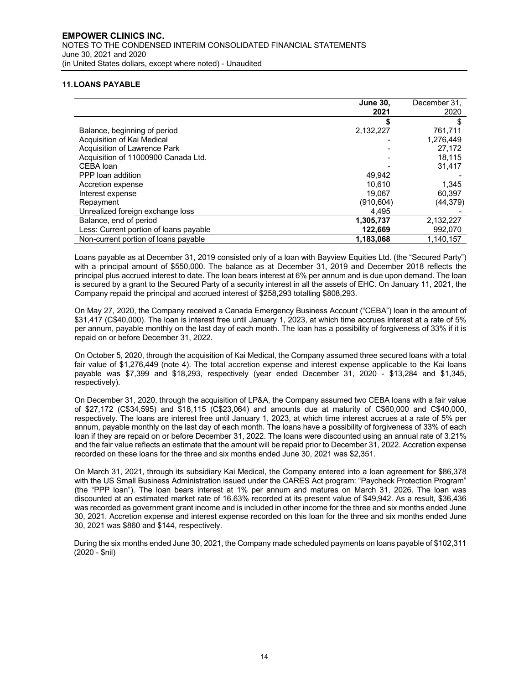# **11.LOANS PAYABLE**

|                                        | <b>June 30,</b> | December 31. |
|----------------------------------------|-----------------|--------------|
|                                        | 2021            | 2020         |
|                                        |                 |              |
| Balance, beginning of period           | 2,132,227       | 761.711      |
| Acquisition of Kai Medical             |                 | 1.276.449    |
| Acquisition of Lawrence Park           |                 | 27,172       |
| Acquisition of 11000900 Canada Ltd.    |                 | 18.115       |
| CEBA loan                              |                 | 31.417       |
| PPP loan addition                      | 49.942          |              |
| Accretion expense                      | 10.610          | 1.345        |
| Interest expense                       | 19,067          | 60.397       |
| Repayment                              | (910,604)       | (44, 379)    |
| Unrealized foreign exchange loss       | 4,495           |              |
| Balance, end of period                 | 1,305,737       | 2,132,227    |
| Less: Current portion of loans payable | 122,669         | 992,070      |
| Non-current portion of loans payable   | 1,183,068       | 1.140.157    |

Loans payable as at December 31, 2019 consisted only of a loan with Bayview Equities Ltd. (the "Secured Party") with a principal amount of \$550,000. The balance as at December 31, 2019 and December 2018 reflects the principal plus accrued interest to date. The loan bears interest at 6% per annum and is due upon demand. The loan is secured by a grant to the Secured Party of a security interest in all the assets of EHC. On January 11, 2021, the Company repaid the principal and accrued interest of \$258,293 totalling \$808,293.

On May 27, 2020, the Company received a Canada Emergency Business Account ("CEBA") loan in the amount of \$31,417 (C\$40,000). The loan is interest free until January 1, 2023, at which time accrues interest at a rate of 5% per annum, payable monthly on the last day of each month. The loan has a possibility of forgiveness of 33% if it is repaid on or before December 31, 2022.

On October 5, 2020, through the acquisition of Kai Medical, the Company assumed three secured loans with a total fair value of \$1,276,449 (note 4). The total accretion expense and interest expense applicable to the Kai loans payable was \$7,399 and \$18,293, respectively (year ended December 31, 2020 - \$13,284 and \$1,345, respectively).

On December 31, 2020, through the acquisition of LP&A, the Company assumed two CEBA loans with a fair value of \$27,172 (C\$34,595) and \$18,115 (C\$23,064) and amounts due at maturity of C\$60,000 and C\$40,000, respectively. The loans are interest free until January 1, 2023, at which time interest accrues at a rate of 5% per annum, payable monthly on the last day of each month. The loans have a possibility of forgiveness of 33% of each loan if they are repaid on or before December 31, 2022. The loans were discounted using an annual rate of 3.21% and the fair value reflects an estimate that the amount will be repaid prior to December 31, 2022. Accretion expense recorded on these loans for the three and six months ended June 30, 2021 was \$2,351.

On March 31, 2021, through its subsidiary Kai Medical, the Company entered into a loan agreement for \$86,378 with the US Small Business Administration issued under the CARES Act program: "Paycheck Protection Program" (the "PPP loan"). The loan bears interest at 1% per annum and matures on March 31, 2026. The loan was discounted at an estimated market rate of 16.63% recorded at its present value of \$49,942. As a result, \$36,436 was recorded as government grant income and is included in other income for the three and six months ended June 30, 2021. Accretion expense and interest expense recorded on this loan for the three and six months ended June 30, 2021 was \$860 and \$144, respectively.

During the six months ended June 30, 2021, the Company made scheduled payments on loans payable of \$102,311 (2020 - \$nil)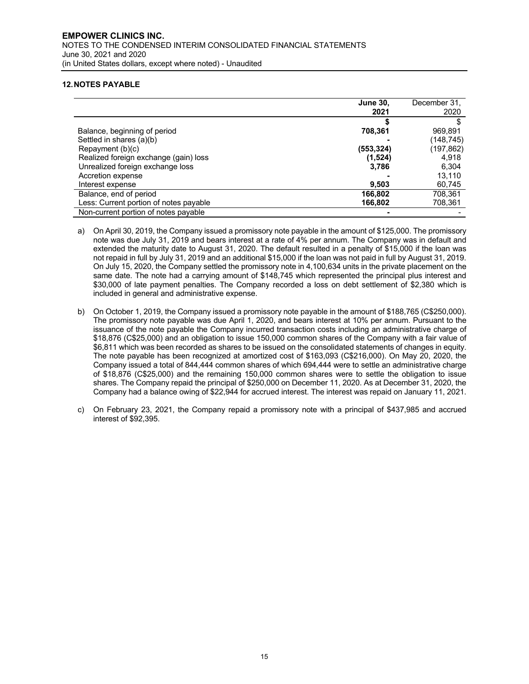# **12.NOTES PAYABLE**

|                                        | <b>June 30,</b> | December 31. |
|----------------------------------------|-----------------|--------------|
|                                        | 2021            | 2020         |
|                                        |                 |              |
| Balance, beginning of period           | 708,361         | 969,891      |
| Settled in shares (a)(b)               |                 | (148,745)    |
| Repayment (b)(c)                       | (553,324)       | (197,862)    |
| Realized foreign exchange (gain) loss  | (1,524)         | 4.918        |
| Unrealized foreign exchange loss       | 3,786           | 6,304        |
| Accretion expense                      |                 | 13,110       |
| Interest expense                       | 9.503           | 60,745       |
| Balance, end of period                 | 166.802         | 708.361      |
| Less: Current portion of notes payable | 166.802         | 708,361      |
| Non-current portion of notes payable   |                 |              |

a) On April 30, 2019, the Company issued a promissory note payable in the amount of \$125,000. The promissory note was due July 31, 2019 and bears interest at a rate of 4% per annum. The Company was in default and extended the maturity date to August 31, 2020. The default resulted in a penalty of \$15,000 if the loan was not repaid in full by July 31, 2019 and an additional \$15,000 if the loan was not paid in full by August 31, 2019. On July 15, 2020, the Company settled the promissory note in 4,100,634 units in the private placement on the same date. The note had a carrying amount of \$148,745 which represented the principal plus interest and \$30,000 of late payment penalties. The Company recorded a loss on debt settlement of \$2,380 which is included in general and administrative expense.

- b) On October 1, 2019, the Company issued a promissory note payable in the amount of \$188,765 (C\$250,000). The promissory note payable was due April 1, 2020, and bears interest at 10% per annum. Pursuant to the issuance of the note payable the Company incurred transaction costs including an administrative charge of \$18,876 (C\$25,000) and an obligation to issue 150,000 common shares of the Company with a fair value of \$6,811 which was been recorded as shares to be issued on the consolidated statements of changes in equity. The note payable has been recognized at amortized cost of \$163,093 (C\$216,000). On May 20, 2020, the Company issued a total of 844,444 common shares of which 694,444 were to settle an administrative charge of \$18,876 (C\$25,000) and the remaining 150,000 common shares were to settle the obligation to issue shares. The Company repaid the principal of \$250,000 on December 11, 2020. As at December 31, 2020, the Company had a balance owing of \$22,944 for accrued interest. The interest was repaid on January 11, 2021.
- c) On February 23, 2021, the Company repaid a promissory note with a principal of \$437,985 and accrued interest of \$92,395.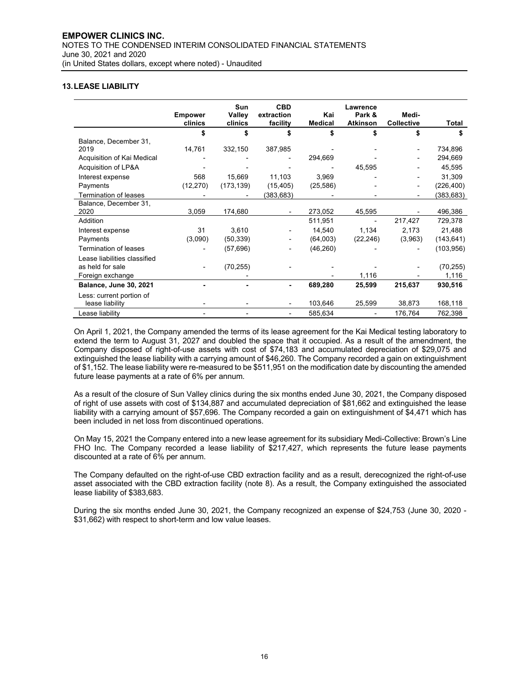# **13.LEASE LIABILITY**

|                               | <b>Empower</b><br>clinics | <b>Sun</b><br>Valley<br>clinics | <b>CBD</b><br>extraction<br>facility | Kai<br><b>Medical</b> | <b>Lawrence</b><br>Park &<br><b>Atkinson</b> | Medi-<br><b>Collective</b> | Total      |
|-------------------------------|---------------------------|---------------------------------|--------------------------------------|-----------------------|----------------------------------------------|----------------------------|------------|
|                               | \$                        | \$                              | \$                                   | \$                    | \$                                           | \$                         | \$         |
| Balance, December 31,         |                           |                                 |                                      |                       |                                              |                            |            |
| 2019                          | 14,761                    | 332,150                         | 387,985                              |                       |                                              |                            | 734,896    |
| Acquisition of Kai Medical    |                           |                                 |                                      | 294,669               |                                              |                            | 294,669    |
| Acquisition of LP&A           |                           |                                 |                                      |                       | 45,595                                       |                            | 45,595     |
| Interest expense              | 568                       | 15,669                          | 11,103                               | 3,969                 |                                              |                            | 31,309     |
| Payments                      | (12, 270)                 | (173, 139)                      | (15, 405)                            | (25, 586)             |                                              |                            | (226, 400) |
| Termination of leases         |                           |                                 | (383,683)                            |                       |                                              |                            | (383,683)  |
| Balance, December 31,         |                           |                                 |                                      |                       |                                              |                            |            |
| 2020                          | 3,059                     | 174,680                         |                                      | 273,052               | 45,595                                       |                            | 496,386    |
| Addition                      |                           |                                 |                                      | 511,951               |                                              | 217,427                    | 729,378    |
| Interest expense              | 31                        | 3,610                           |                                      | 14,540                | 1,134                                        | 2,173                      | 21,488     |
| Payments                      | (3,090)                   | (50, 339)                       |                                      | (64,003)              | (22, 246)                                    | (3,963)                    | (143, 641) |
| <b>Termination of leases</b>  |                           | (57, 696)                       |                                      | (46, 260)             |                                              |                            | (103, 956) |
| Lease liabilities classified  |                           |                                 |                                      |                       |                                              |                            |            |
| as held for sale              |                           | (70, 255)                       |                                      |                       |                                              |                            | (70, 255)  |
| Foreign exchange              |                           |                                 |                                      |                       | 1,116                                        |                            | 1,116      |
| <b>Balance, June 30, 2021</b> |                           |                                 |                                      | 689,280               | 25,599                                       | 215,637                    | 930,516    |
| Less: current portion of      |                           |                                 |                                      |                       |                                              |                            |            |
| lease liability               |                           |                                 |                                      | 103,646               | 25,599                                       | 38,873                     | 168,118    |
| Lease liability               |                           |                                 |                                      | 585,634               |                                              | 176,764                    | 762,398    |

On April 1, 2021, the Company amended the terms of its lease agreement for the Kai Medical testing laboratory to extend the term to August 31, 2027 and doubled the space that it occupied. As a result of the amendment, the Company disposed of right-of-use assets with cost of \$74,183 and accumulated depreciation of \$29,075 and extinguished the lease liability with a carrying amount of \$46,260. The Company recorded a gain on extinguishment of \$1,152. The lease liability were re-measured to be \$511,951 on the modification date by discounting the amended future lease payments at a rate of 6% per annum.

As a result of the closure of Sun Valley clinics during the six months ended June 30, 2021, the Company disposed of right of use assets with cost of \$134,887 and accumulated depreciation of \$81,662 and extinguished the lease liability with a carrying amount of \$57,696. The Company recorded a gain on extinguishment of \$4,471 which has been included in net loss from discontinued operations.

On May 15, 2021 the Company entered into a new lease agreement for its subsidiary Medi-Collective: Brown's Line FHO Inc. The Company recorded a lease liability of \$217,427, which represents the future lease payments discounted at a rate of 6% per annum.

The Company defaulted on the right-of-use CBD extraction facility and as a result, derecognized the right-of-use asset associated with the CBD extraction facility (note 8). As a result, the Company extinguished the associated lease liability of \$383,683.

During the six months ended June 30, 2021, the Company recognized an expense of \$24,753 (June 30, 2020 - \$31,662) with respect to short-term and low value leases.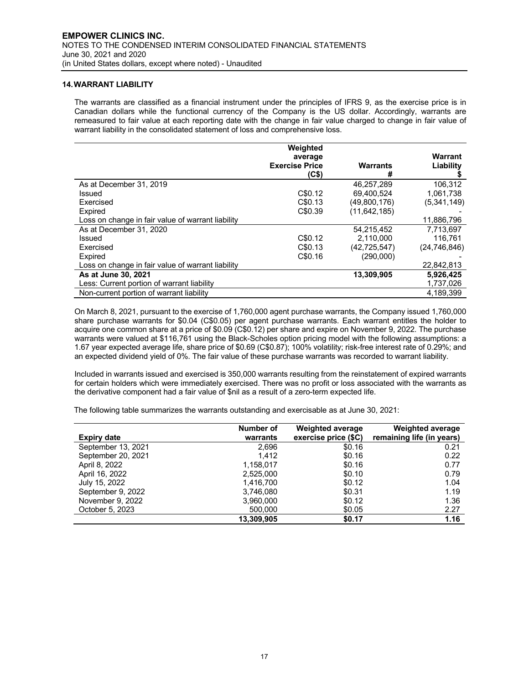# **14.WARRANT LIABILITY**

The warrants are classified as a financial instrument under the principles of IFRS 9, as the exercise price is in Canadian dollars while the functional currency of the Company is the US dollar. Accordingly, warrants are remeasured to fair value at each reporting date with the change in fair value charged to change in fair value of warrant liability in the consolidated statement of loss and comprehensive loss.

|                                                   | Weighted<br>average                        |                      | Warrant        |
|---------------------------------------------------|--------------------------------------------|----------------------|----------------|
|                                                   | <b>Exercise Price</b><br>(C <sub>5</sub> ) | <b>Warrants</b><br># | Liability      |
| As at December 31, 2019                           |                                            | 46,257,289           | 106.312        |
| Issued                                            | C\$0.12                                    | 69.400.524           | 1,061,738      |
| Exercised                                         | C\$0.13                                    | (49,800,176)         | (5,341,149)    |
| Expired                                           | C\$0.39                                    | (11,642,185)         |                |
| Loss on change in fair value of warrant liability |                                            |                      | 11,886,796     |
| As at December 31, 2020                           |                                            | 54.215.452           | 7.713.697      |
| Issued                                            | C\$0.12                                    | 2.110.000            | 116.761        |
| Exercised                                         | C\$0.13                                    | (42, 725, 547)       | (24, 746, 846) |
| Expired                                           | C\$0.16                                    | (290,000)            |                |
| Loss on change in fair value of warrant liability |                                            |                      | 22,842,813     |
| As at June 30, 2021                               |                                            | 13,309,905           | 5,926,425      |
| Less: Current portion of warrant liability        |                                            |                      | 1,737,026      |
| Non-current portion of warrant liability          |                                            |                      | 4.189.399      |

On March 8, 2021, pursuant to the exercise of 1,760,000 agent purchase warrants, the Company issued 1,760,000 share purchase warrants for \$0.04 (C\$0.05) per agent purchase warrants. Each warrant entitles the holder to acquire one common share at a price of \$0.09 (C\$0.12) per share and expire on November 9, 2022. The purchase warrants were valued at \$116,761 using the Black-Scholes option pricing model with the following assumptions: a 1.67 year expected average life, share price of \$0.69 (C\$0.87); 100% volatility; risk-free interest rate of 0.29%; and an expected dividend yield of 0%. The fair value of these purchase warrants was recorded to warrant liability.

Included in warrants issued and exercised is 350,000 warrants resulting from the reinstatement of expired warrants for certain holders which were immediately exercised. There was no profit or loss associated with the warrants as the derivative component had a fair value of \$nil as a result of a zero-term expected life.

The following table summarizes the warrants outstanding and exercisable as at June 30, 2021:

| <b>Expiry date</b> | Number of<br>warrants | <b>Weighted average</b><br>exercise price (\$C) | <b>Weighted average</b><br>remaining life (in years) |
|--------------------|-----------------------|-------------------------------------------------|------------------------------------------------------|
| September 13, 2021 | 2,696                 | \$0.16                                          | 0.21                                                 |
| September 20, 2021 | 1.412                 | \$0.16                                          | 0.22                                                 |
| April 8, 2022      | 1,158,017             | \$0.16                                          | 0.77                                                 |
| April 16, 2022     | 2,525,000             | \$0.10                                          | 0.79                                                 |
| July 15, 2022      | 1,416,700             | \$0.12                                          | 1.04                                                 |
| September 9, 2022  | 3,746,080             | \$0.31                                          | 1.19                                                 |
| November 9, 2022   | 3,960,000             | \$0.12                                          | 1.36                                                 |
| October 5, 2023    | 500,000               | \$0.05                                          | 2.27                                                 |
|                    | 13.309.905            | \$0.17                                          | 1.16                                                 |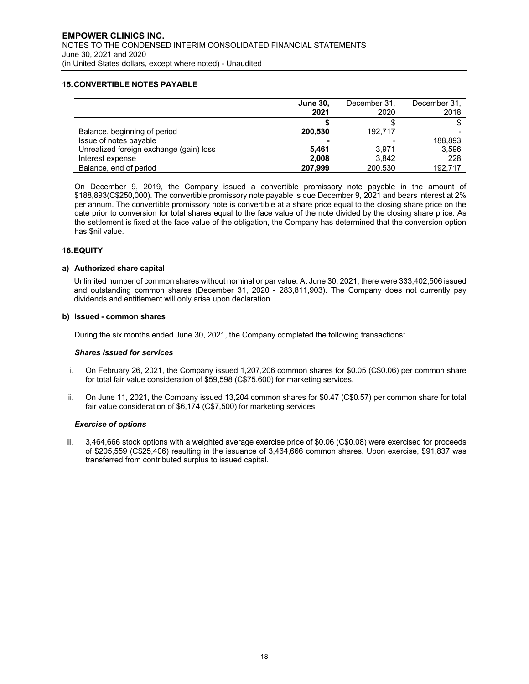# **15.CONVERTIBLE NOTES PAYABLE**

|                                         | <b>June 30,</b><br>2021 | December 31,<br>2020 | December 31.<br>2018 |
|-----------------------------------------|-------------------------|----------------------|----------------------|
|                                         |                         |                      |                      |
| Balance, beginning of period            | 200.530                 | 192.717              |                      |
| Issue of notes payable                  | $\blacksquare$          |                      | 188,893              |
| Unrealized foreign exchange (gain) loss | 5.461                   | 3.971                | 3.596                |
| Interest expense                        | 2.008                   | 3.842                | 228                  |
| Balance, end of period                  | 207.999                 | 200.530              | 192.717              |

On December 9, 2019, the Company issued a convertible promissory note payable in the amount of \$188,893(C\$250,000). The convertible promissory note payable is due December 9, 2021 and bears interest at 2% per annum. The convertible promissory note is convertible at a share price equal to the closing share price on the date prior to conversion for total shares equal to the face value of the note divided by the closing share price. As the settlement is fixed at the face value of the obligation, the Company has determined that the conversion option has \$nil value.

#### **16.EQUITY**

#### **a) Authorized share capital**

Unlimited number of common shares without nominal or par value. At June 30, 2021, there were 333,402,506 issued and outstanding common shares (December 31, 2020 - 283,811,903). The Company does not currently pay dividends and entitlement will only arise upon declaration.

#### **b) Issued - common shares**

During the six months ended June 30, 2021, the Company completed the following transactions:

#### *Shares issued for services*

- i. On February 26, 2021, the Company issued 1,207,206 common shares for \$0.05 (C\$0.06) per common share for total fair value consideration of \$59,598 (C\$75,600) for marketing services.
- ii. On June 11, 2021, the Company issued 13,204 common shares for \$0.47 (C\$0.57) per common share for total fair value consideration of \$6,174 (C\$7,500) for marketing services.

#### *Exercise of options*

iii. 3,464,666 stock options with a weighted average exercise price of \$0.06 (C\$0.08) were exercised for proceeds of \$205,559 (C\$25,406) resulting in the issuance of 3,464,666 common shares. Upon exercise, \$91,837 was transferred from contributed surplus to issued capital.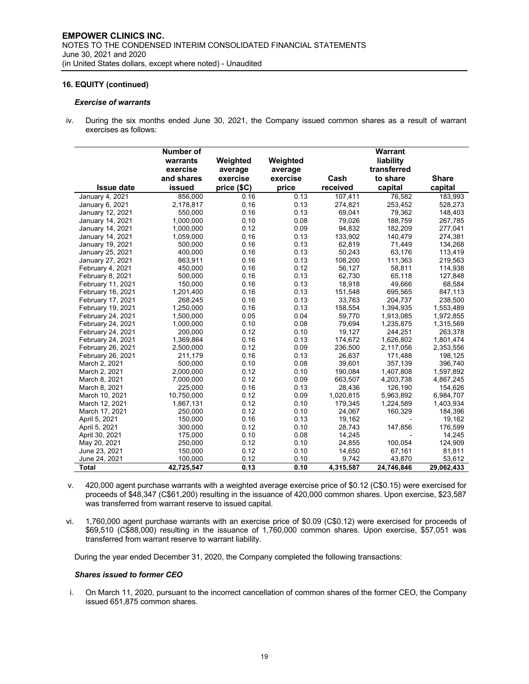#### *Exercise of warrants*

iv. During the six months ended June 30, 2021, the Company issued common shares as a result of warrant exercises as follows:

|                   | <b>Number of</b><br>warrants<br>exercise<br>and shares | Weighted<br>average<br>exercise | Weighted<br>average<br>exercise | Cash      | Warrant<br>liability<br>transferred<br>to share | <b>Share</b> |
|-------------------|--------------------------------------------------------|---------------------------------|---------------------------------|-----------|-------------------------------------------------|--------------|
| <b>Issue date</b> | issued                                                 | price (\$C)                     | price                           | received  | capital                                         | capital      |
| January 4, 2021   | 856,000                                                | 0.16                            | 0.13                            | 107,411   | 76,582                                          | 183,993      |
| January 6, 2021   | 2,178,817                                              | 0.16                            | 0.13                            | 274,821   | 253,452                                         | 528,273      |
| January 12, 2021  | 550,000                                                | 0.16                            | 0.13                            | 69,041    | 79,362                                          | 148,403      |
| January 14, 2021  | 1.000.000                                              | 0.10                            | 0.08                            | 79.026    | 188.759                                         | 267.785      |
| January 14, 2021  | 1,000,000                                              | 0.12                            | 0.09                            | 94,832    | 182,209                                         | 277,041      |
| January 14, 2021  | 1,059,000                                              | 0.16                            | 0.13                            | 133,902   | 140,479                                         | 274,381      |
| January 19, 2021  | 500,000                                                | 0.16                            | 0.13                            | 62,819    | 71,449                                          | 134,268      |
| January 25, 2021  | 400,000                                                | 0.16                            | 0.13                            | 50,243    | 63,176                                          | 113,419      |
| January 27, 2021  | 863.911                                                | 0.16                            | 0.13                            | 108.200   | 111.363                                         | 219.563      |
| February 4, 2021  | 450.000                                                | 0.16                            | 0.12                            | 56.127    | 58,811                                          | 114,938      |
| February 8, 2021  | 500,000                                                | 0.16                            | 0.13                            | 62,730    | 65,118                                          | 127,848      |
| February 11, 2021 | 150,000                                                | 0.16                            | 0.13                            | 18,918    | 49,666                                          | 68,584       |
| February 16, 2021 | 1,201,400                                              | 0.16                            | 0.13                            | 151,548   | 695,565                                         | 847,113      |
| February 17, 2021 | 268,245                                                | 0.16                            | 0.13                            | 33,763    | 204,737                                         | 238,500      |
| February 19, 2021 | 1.250.000                                              | 0.16                            | 0.13                            | 158.554   | 1,394,935                                       | 1,553,489    |
| February 24, 2021 | 1,500,000                                              | 0.05                            | 0.04                            | 59,770    | 1,913,085                                       | 1,972,855    |
| February 24, 2021 | 1,000,000                                              | 0.10                            | 0.08                            | 79,694    | 1,235,875                                       | 1,315,569    |
| February 24, 2021 | 200,000                                                | 0.12                            | 0.10                            | 19,127    | 244,251                                         | 263,378      |
| February 24, 2021 | 1,369,864                                              | 0.16                            | 0.13                            | 174,672   | 1,626,802                                       | 1,801,474    |
| February 26, 2021 | 2,500,000                                              | 0.12                            | 0.09                            | 236,500   | 2,117,056                                       | 2,353,556    |
| February 26, 2021 | 211,179                                                | 0.16                            | 0.13                            | 26.637    | 171,488                                         | 198,125      |
| March 2, 2021     | 500,000                                                | 0.10                            | 0.08                            | 39,601    | 357,139                                         | 396,740      |
| March 2, 2021     | 2.000.000                                              | 0.12                            | 0.10                            | 190.084   | 1,407,808                                       | 1,597,892    |
| March 8, 2021     | 7,000,000                                              | 0.12                            | 0.09                            | 663.507   | 4,203,738                                       | 4,867,245    |
| March 8, 2021     | 225,000                                                | 0.16                            | 0.13                            | 28,436    | 126,190                                         | 154,626      |
| March 10, 2021    | 10,750,000                                             | 0.12                            | 0.09                            | 1,020,815 | 5,963,892                                       | 6,984,707    |
| March 12, 2021    | 1,867,131                                              | 0.12                            | 0.10                            | 179.345   | 1,224,589                                       | 1,403,934    |
| March 17, 2021    | 250.000                                                | 0.12                            | 0.10                            | 24,067    | 160,329                                         | 184,396      |
| April 5, 2021     | 150,000                                                | 0.16                            | 0.13                            | 19,162    |                                                 | 19,162       |
| April 5, 2021     | 300,000                                                | 0.12                            | 0.10                            | 28,743    | 147,856                                         | 176,599      |
| April 30, 2021    | 175,000                                                | 0.10                            | 0.08                            | 14,245    |                                                 | 14,245       |
| May 20, 2021      | 250,000                                                | 0.12                            | 0.10                            | 24,855    | 100,054                                         | 124,909      |
| June 23, 2021     | 150,000                                                | 0.12                            | 0.10                            | 14,650    | 67,161                                          | 81,811       |
| June 24, 2021     | 100,000                                                | 0.12                            | 0.10                            | 9.742     | 43.870                                          | 53,612       |
| Total             | 42,725,547                                             | 0.13                            | 0.10                            | 4,315,587 | 24,746,846                                      | 29,062,433   |

- v. 420,000 agent purchase warrants with a weighted average exercise price of \$0.12 (C\$0.15) were exercised for proceeds of \$48,347 (C\$61,200) resulting in the issuance of 420,000 common shares. Upon exercise, \$23,587 was transferred from warrant reserve to issued capital.
- vi. 1,760,000 agent purchase warrants with an exercise price of \$0.09 (C\$0.12) were exercised for proceeds of \$69,510 (C\$88,000) resulting in the issuance of 1,760,000 common shares. Upon exercise, \$57,051 was transferred from warrant reserve to warrant liability.

During the year ended December 31, 2020, the Company completed the following transactions:

#### *Shares issued to former CEO*

i. On March 11, 2020, pursuant to the incorrect cancellation of common shares of the former CEO, the Company issued 651,875 common shares.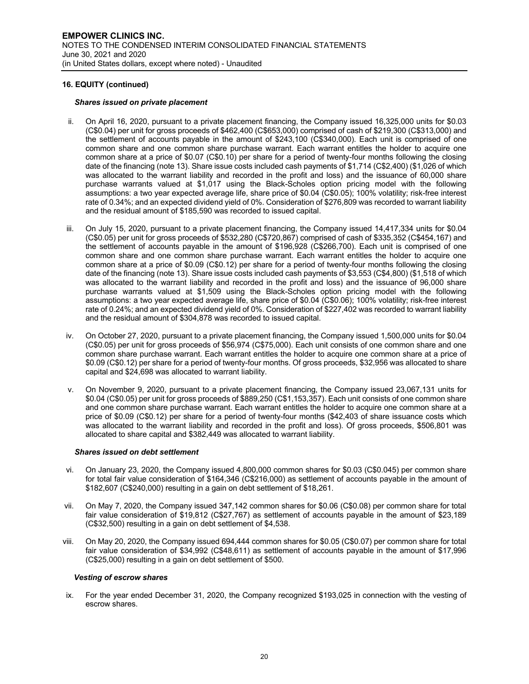#### *Shares issued on private placement*

- ii. On April 16, 2020, pursuant to a private placement financing, the Company issued 16,325,000 units for \$0.03 (C\$0.04) per unit for gross proceeds of \$462,400 (C\$653,000) comprised of cash of \$219,300 (C\$313,000) and the settlement of accounts payable in the amount of \$243,100 (C\$340,000). Each unit is comprised of one common share and one common share purchase warrant. Each warrant entitles the holder to acquire one common share at a price of \$0.07 (C\$0.10) per share for a period of twenty-four months following the closing date of the financing (note 13). Share issue costs included cash payments of \$1,714 (C\$2,400) (\$1,026 of which was allocated to the warrant liability and recorded in the profit and loss) and the issuance of 60,000 share purchase warrants valued at \$1,017 using the Black-Scholes option pricing model with the following assumptions: a two year expected average life, share price of \$0.04 (C\$0.05); 100% volatility; risk-free interest rate of 0.34%; and an expected dividend yield of 0%. Consideration of \$276,809 was recorded to warrant liability and the residual amount of \$185,590 was recorded to issued capital.
- iii. On July 15, 2020, pursuant to a private placement financing, the Company issued 14,417,334 units for \$0.04 (C\$0.05) per unit for gross proceeds of \$532,280 (C\$720,867) comprised of cash of \$335,352 (C\$454,167) and the settlement of accounts payable in the amount of \$196,928 (C\$266,700). Each unit is comprised of one common share and one common share purchase warrant. Each warrant entitles the holder to acquire one common share at a price of \$0.09 (C\$0.12) per share for a period of twenty-four months following the closing date of the financing (note 13). Share issue costs included cash payments of \$3,553 (C\$4,800) (\$1,518 of which was allocated to the warrant liability and recorded in the profit and loss) and the issuance of 96,000 share purchase warrants valued at \$1,509 using the Black-Scholes option pricing model with the following assumptions: a two year expected average life, share price of \$0.04 (C\$0.06); 100% volatility; risk-free interest rate of 0.24%; and an expected dividend yield of 0%. Consideration of \$227,402 was recorded to warrant liability and the residual amount of \$304,878 was recorded to issued capital.
- iv. On October 27, 2020, pursuant to a private placement financing, the Company issued 1,500,000 units for \$0.04 (C\$0.05) per unit for gross proceeds of \$56,974 (C\$75,000). Each unit consists of one common share and one common share purchase warrant. Each warrant entitles the holder to acquire one common share at a price of \$0.09 (C\$0.12) per share for a period of twenty-four months. Of gross proceeds, \$32,956 was allocated to share capital and \$24,698 was allocated to warrant liability.
- v. On November 9, 2020, pursuant to a private placement financing, the Company issued 23,067,131 units for \$0.04 (C\$0.05) per unit for gross proceeds of \$889,250 (C\$1,153,357). Each unit consists of one common share and one common share purchase warrant. Each warrant entitles the holder to acquire one common share at a price of \$0.09 (C\$0.12) per share for a period of twenty-four months (\$42,403 of share issuance costs which was allocated to the warrant liability and recorded in the profit and loss). Of gross proceeds, \$506,801 was allocated to share capital and \$382,449 was allocated to warrant liability.

#### *Shares issued on debt settlement*

- vi. On January 23, 2020, the Company issued 4,800,000 common shares for \$0.03 (C\$0.045) per common share for total fair value consideration of \$164,346 (C\$216,000) as settlement of accounts payable in the amount of \$182,607 (C\$240,000) resulting in a gain on debt settlement of \$18,261.
- vii. On May 7, 2020, the Company issued 347,142 common shares for \$0.06 (C\$0.08) per common share for total fair value consideration of \$19,812 (C\$27,767) as settlement of accounts payable in the amount of \$23,189 (C\$32,500) resulting in a gain on debt settlement of \$4,538.
- viii. On May 20, 2020, the Company issued 694,444 common shares for \$0.05 (C\$0.07) per common share for total fair value consideration of \$34,992 (C\$48,611) as settlement of accounts payable in the amount of \$17,996 (C\$25,000) resulting in a gain on debt settlement of \$500.

#### *Vesting of escrow shares*

ix. For the year ended December 31, 2020, the Company recognized \$193,025 in connection with the vesting of escrow shares.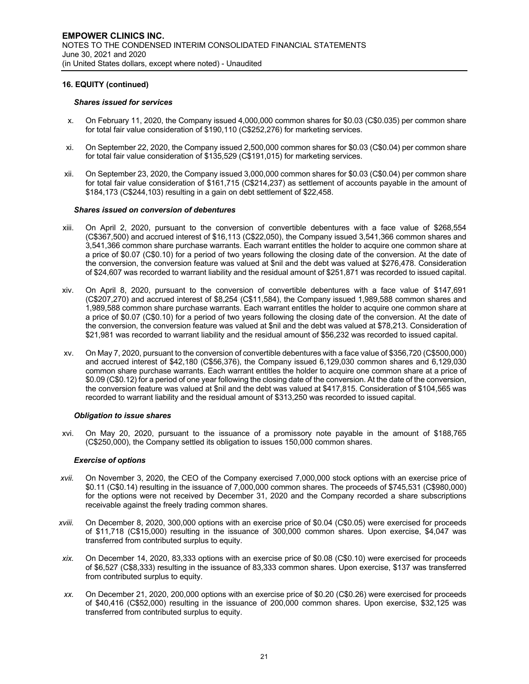#### *Shares issued for services*

- x. On February 11, 2020, the Company issued 4,000,000 common shares for \$0.03 (C\$0.035) per common share for total fair value consideration of \$190,110 (C\$252,276) for marketing services.
- xi. On September 22, 2020, the Company issued 2,500,000 common shares for \$0.03 (C\$0.04) per common share for total fair value consideration of \$135,529 (C\$191,015) for marketing services.
- xii. On September 23, 2020, the Company issued 3,000,000 common shares for \$0.03 (C\$0.04) per common share for total fair value consideration of \$161,715 (C\$214,237) as settlement of accounts payable in the amount of \$184,173 (C\$244,103) resulting in a gain on debt settlement of \$22,458.

#### *Shares issued on conversion of debentures*

- xiii. On April 2, 2020, pursuant to the conversion of convertible debentures with a face value of \$268,554 (C\$367,500) and accrued interest of \$16,113 (C\$22,050), the Company issued 3,541,366 common shares and 3,541,366 common share purchase warrants. Each warrant entitles the holder to acquire one common share at a price of \$0.07 (C\$0.10) for a period of two years following the closing date of the conversion. At the date of the conversion, the conversion feature was valued at \$nil and the debt was valued at \$276,478. Consideration of \$24,607 was recorded to warrant liability and the residual amount of \$251,871 was recorded to issued capital.
- xiv. On April 8, 2020, pursuant to the conversion of convertible debentures with a face value of \$147,691 (C\$207,270) and accrued interest of \$8,254 (C\$11,584), the Company issued 1,989,588 common shares and 1,989,588 common share purchase warrants. Each warrant entitles the holder to acquire one common share at a price of \$0.07 (C\$0.10) for a period of two years following the closing date of the conversion. At the date of the conversion, the conversion feature was valued at \$nil and the debt was valued at \$78,213. Consideration of \$21,981 was recorded to warrant liability and the residual amount of \$56,232 was recorded to issued capital.
- xv. On May 7, 2020, pursuant to the conversion of convertible debentures with a face value of \$356,720 (C\$500,000) and accrued interest of \$42,180 (C\$56,376), the Company issued 6,129,030 common shares and 6,129,030 common share purchase warrants. Each warrant entitles the holder to acquire one common share at a price of \$0.09 (C\$0.12) for a period of one year following the closing date of the conversion. At the date of the conversion, the conversion feature was valued at \$nil and the debt was valued at \$417,815. Consideration of \$104,565 was recorded to warrant liability and the residual amount of \$313,250 was recorded to issued capital.

#### *Obligation to issue shares*

xvi. On May 20, 2020, pursuant to the issuance of a promissory note payable in the amount of \$188,765 (C\$250,000), the Company settled its obligation to issues 150,000 common shares.

#### *Exercise of options*

- *xvii.* On November 3, 2020, the CEO of the Company exercised 7,000,000 stock options with an exercise price of \$0.11 (C\$0.14) resulting in the issuance of 7,000,000 common shares. The proceeds of \$745,531 (C\$980,000) for the options were not received by December 31, 2020 and the Company recorded a share subscriptions receivable against the freely trading common shares.
- *xviii.* On December 8, 2020, 300,000 options with an exercise price of \$0.04 (C\$0.05) were exercised for proceeds of \$11,718 (C\$15,000) resulting in the issuance of 300,000 common shares. Upon exercise, \$4,047 was transferred from contributed surplus to equity.
- *xix.* On December 14, 2020, 83,333 options with an exercise price of \$0.08 (C\$0.10) were exercised for proceeds of \$6,527 (C\$8,333) resulting in the issuance of 83,333 common shares. Upon exercise, \$137 was transferred from contributed surplus to equity.
- *xx.* On December 21, 2020, 200,000 options with an exercise price of \$0.20 (C\$0.26) were exercised for proceeds of \$40,416 (C\$52,000) resulting in the issuance of 200,000 common shares. Upon exercise, \$32,125 was transferred from contributed surplus to equity.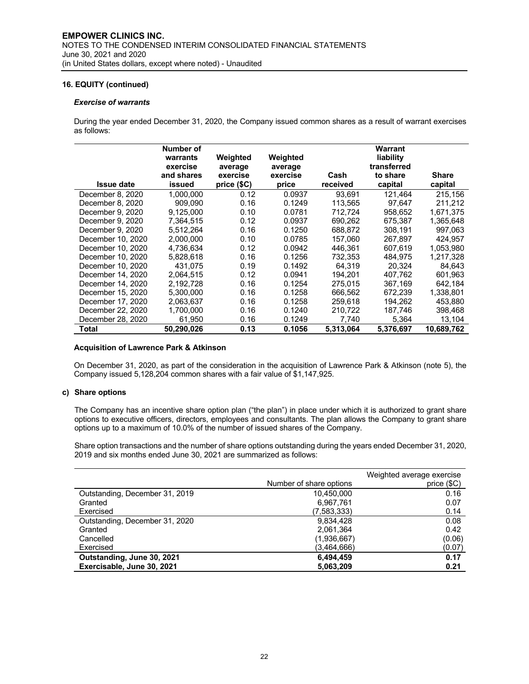#### *Exercise of warrants*

During the year ended December 31, 2020, the Company issued common shares as a result of warrant exercises as follows:

|                   | Number of<br>warrants<br>exercise<br>and shares | Weighted<br>average<br>exercise | Weighted<br>average<br>exercise | Cash      | Warrant<br>liability<br>transferred<br>to share | <b>Share</b> |
|-------------------|-------------------------------------------------|---------------------------------|---------------------------------|-----------|-------------------------------------------------|--------------|
| <b>Issue date</b> | issued                                          | price (\$C)                     | price                           | received  | capital                                         | capital      |
| December 8, 2020  | 1.000.000                                       | 0.12                            | 0.0937                          | 93.691    | 121.464                                         | 215.156      |
| December 8, 2020  | 909.090                                         | 0.16                            | 0.1249                          | 113,565   | 97.647                                          | 211,212      |
| December 9, 2020  | 9.125.000                                       | 0.10                            | 0.0781                          | 712.724   | 958.652                                         | 1,671,375    |
| December 9, 2020  | 7,364,515                                       | 0.12                            | 0.0937                          | 690.262   | 675.387                                         | 1,365,648    |
| December 9, 2020  | 5.512.264                                       | 0.16                            | 0.1250                          | 688.872   | 308.191                                         | 997.063      |
| December 10, 2020 | 2.000.000                                       | 0.10                            | 0.0785                          | 157.060   | 267.897                                         | 424.957      |
| December 10, 2020 | 4,736,634                                       | 0.12                            | 0.0942                          | 446.361   | 607,619                                         | 1,053,980    |
| December 10, 2020 | 5.828.618                                       | 0.16                            | 0.1256                          | 732.353   | 484.975                                         | 1.217.328    |
| December 10, 2020 | 431,075                                         | 0.19                            | 0.1492                          | 64,319    | 20,324                                          | 84,643       |
| December 14, 2020 | 2.064.515                                       | 0.12                            | 0.0941                          | 194.201   | 407.762                                         | 601,963      |
| December 14, 2020 | 2,192,728                                       | 0.16                            | 0.1254                          | 275.015   | 367,169                                         | 642,184      |
| December 15, 2020 | 5.300.000                                       | 0.16                            | 0.1258                          | 666,562   | 672.239                                         | 1.338.801    |
| December 17, 2020 | 2.063.637                                       | 0.16                            | 0.1258                          | 259.618   | 194.262                                         | 453.880      |
| December 22, 2020 | 1,700,000                                       | 0.16                            | 0.1240                          | 210,722   | 187,746                                         | 398,468      |
| December 28, 2020 | 61,950                                          | 0.16                            | 0.1249                          | 7,740     | 5,364                                           | 13,104       |
| Total             | 50,290,026                                      | 0.13                            | 0.1056                          | 5,313,064 | 5,376,697                                       | 10,689,762   |

#### **Acquisition of Lawrence Park & Atkinson**

On December 31, 2020, as part of the consideration in the acquisition of Lawrence Park & Atkinson (note 5), the Company issued 5,128,204 common shares with a fair value of \$1,147,925.

# **c) Share options**

The Company has an incentive share option plan ("the plan") in place under which it is authorized to grant share options to executive officers, directors, employees and consultants. The plan allows the Company to grant share options up to a maximum of 10.0% of the number of issued shares of the Company.

Share option transactions and the number of share options outstanding during the years ended December 31, 2020, 2019 and six months ended June 30, 2021 are summarized as follows:

|                                | Number of share options | Weighted average exercise<br>price (\$C) |
|--------------------------------|-------------------------|------------------------------------------|
| Outstanding, December 31, 2019 | 10.450.000              | 0.16                                     |
| Granted                        | 6,967,761               | 0.07                                     |
| Exercised                      | (7,583,333)             | 0.14                                     |
| Outstanding, December 31, 2020 | 9,834,428               | 0.08                                     |
| Granted                        | 2,061,364               | 0.42                                     |
| Cancelled                      | (1,936,667)             | (0.06)                                   |
| Exercised                      | (3,464,666)             | (0.07)                                   |
| Outstanding, June 30, 2021     | 6,494,459               | 0.17                                     |
| Exercisable, June 30, 2021     | 5,063,209               | 0.21                                     |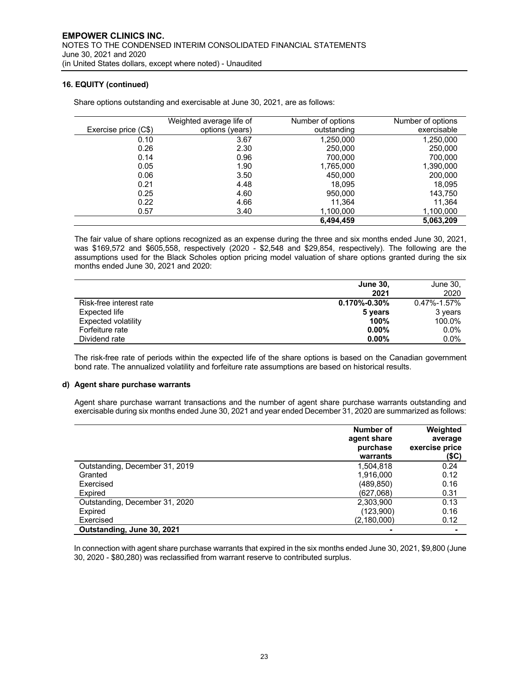|                      | Weighted average life of | Number of options | Number of options |
|----------------------|--------------------------|-------------------|-------------------|
| Exercise price (C\$) | options (years)          | outstanding       | exercisable       |
| 0.10                 | 3.67                     | 1,250,000         | 1,250,000         |
| 0.26                 | 2.30                     | 250,000           | 250,000           |
| 0.14                 | 0.96                     | 700.000           | 700.000           |
| 0.05                 | 1.90                     | 1,765,000         | 1,390,000         |
| 0.06                 | 3.50                     | 450,000           | 200,000           |
| 0.21                 | 4.48                     | 18.095            | 18,095            |
| 0.25                 | 4.60                     | 950,000           | 143,750           |
| 0.22                 | 4.66                     | 11.364            | 11.364            |
| 0.57                 | 3.40                     | 1,100,000         | 1,100,000         |
|                      |                          | 6,494,459         | 5,063,209         |

Share options outstanding and exercisable at June 30, 2021, are as follows:

The fair value of share options recognized as an expense during the three and six months ended June 30, 2021, was \$169,572 and \$605,558, respectively (2020 - \$2,548 and \$29,854, respectively). The following are the assumptions used for the Black Scholes option pricing model valuation of share options granted during the six months ended June 30, 2021 and 2020:

|                         | <b>June 30,</b>    | June 30,          |
|-------------------------|--------------------|-------------------|
|                         | 2021               | 2020              |
| Risk-free interest rate | $0.170\% - 0.30\%$ | $0.47\% - 1.57\%$ |
| Expected life           | 5 years            | 3 years           |
| Expected volatility     | 100%               | 100.0%            |
| Forfeiture rate         | $0.00\%$           | $0.0\%$           |
| Dividend rate           | $0.00\%$           | $0.0\%$           |

The risk-free rate of periods within the expected life of the share options is based on the Canadian government bond rate. The annualized volatility and forfeiture rate assumptions are based on historical results.

# **d) Agent share purchase warrants**

Agent share purchase warrant transactions and the number of agent share purchase warrants outstanding and exercisable during six months ended June 30, 2021 and year ended December 31, 2020 are summarized as follows:

|                                | Number of<br>agent share<br>purchase<br>warrants | Weighted<br>average<br>exercise price<br>(\$C) |
|--------------------------------|--------------------------------------------------|------------------------------------------------|
| Outstanding, December 31, 2019 | 1,504,818                                        | 0.24                                           |
| Granted                        | 1,916,000                                        | 0.12                                           |
| Exercised                      | (489,850)                                        | 0.16                                           |
| Expired                        | (627,068)                                        | 0.31                                           |
| Outstanding, December 31, 2020 | 2,303,900                                        | 0.13                                           |
| Expired                        | (123,900)                                        | 0.16                                           |
| Exercised                      | (2,180,000)                                      | 0.12                                           |
| Outstanding, June 30, 2021     |                                                  |                                                |

In connection with agent share purchase warrants that expired in the six months ended June 30, 2021, \$9,800 (June 30, 2020 - \$80,280) was reclassified from warrant reserve to contributed surplus.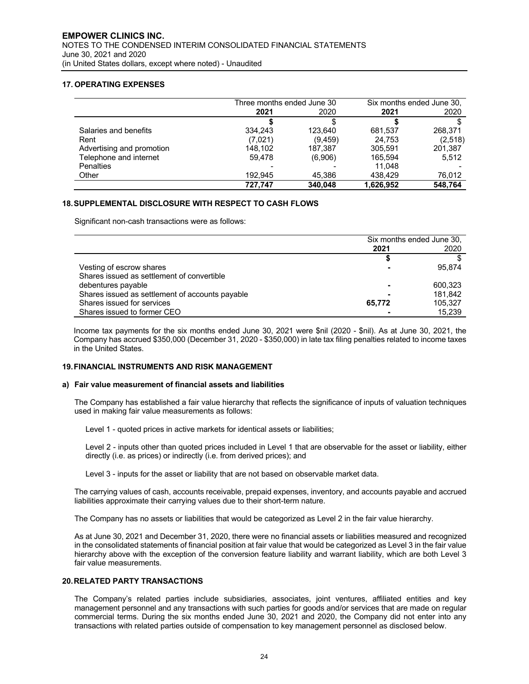# **17. OPERATING EXPENSES**

J.

|                           | Three months ended June 30 |          | Six months ended June 30. |         |
|---------------------------|----------------------------|----------|---------------------------|---------|
|                           | 2021                       | 2020     | 2021                      | 2020    |
|                           |                            |          |                           |         |
| Salaries and benefits     | 334.243                    | 123.640  | 681.537                   | 268.371 |
| Rent                      | (7,021)                    | (9, 459) | 24.753                    | (2,518) |
| Advertising and promotion | 148.102                    | 187,387  | 305.591                   | 201,387 |
| Telephone and internet    | 59.478                     | (6,906)  | 165.594                   | 5.512   |
| <b>Penalties</b>          |                            |          | 11.048                    |         |
| Other                     | 192.945                    | 45,386   | 438.429                   | 76,012  |
|                           | 727.747                    | 340.048  | 1.626.952                 | 548.764 |

#### **18.SUPPLEMENTAL DISCLOSURE WITH RESPECT TO CASH FLOWS**

Significant non-cash transactions were as follows:

|                                                 | Six months ended June 30, |         |
|-------------------------------------------------|---------------------------|---------|
|                                                 | 2021                      | 2020    |
|                                                 |                           |         |
| Vesting of escrow shares                        |                           | 95.874  |
| Shares issued as settlement of convertible      |                           |         |
| debentures payable                              |                           | 600.323 |
| Shares issued as settlement of accounts payable |                           | 181.842 |
| Shares issued for services                      | 65,772                    | 105.327 |
| Shares issued to former CEO                     |                           | 15.239  |

Income tax payments for the six months ended June 30, 2021 were \$nil (2020 - \$nil). As at June 30, 2021, the Company has accrued \$350,000 (December 31, 2020 - \$350,000) in late tax filing penalties related to income taxes in the United States.

## **19.FINANCIAL INSTRUMENTS AND RISK MANAGEMENT**

#### **a) Fair value measurement of financial assets and liabilities**

The Company has established a fair value hierarchy that reflects the significance of inputs of valuation techniques used in making fair value measurements as follows:

Level 1 - quoted prices in active markets for identical assets or liabilities;

Level 2 - inputs other than quoted prices included in Level 1 that are observable for the asset or liability, either directly (i.e. as prices) or indirectly (i.e. from derived prices); and

Level 3 - inputs for the asset or liability that are not based on observable market data.

The carrying values of cash, accounts receivable, prepaid expenses, inventory, and accounts payable and accrued liabilities approximate their carrying values due to their short-term nature.

The Company has no assets or liabilities that would be categorized as Level 2 in the fair value hierarchy.

As at June 30, 2021 and December 31, 2020, there were no financial assets or liabilities measured and recognized in the consolidated statements of financial position at fair value that would be categorized as Level 3 in the fair value hierarchy above with the exception of the conversion feature liability and warrant liability, which are both Level 3 fair value measurements.

#### **20.RELATED PARTY TRANSACTIONS**

The Company's related parties include subsidiaries, associates, joint ventures, affiliated entities and key management personnel and any transactions with such parties for goods and/or services that are made on regular commercial terms. During the six months ended June 30, 2021 and 2020, the Company did not enter into any transactions with related parties outside of compensation to key management personnel as disclosed below.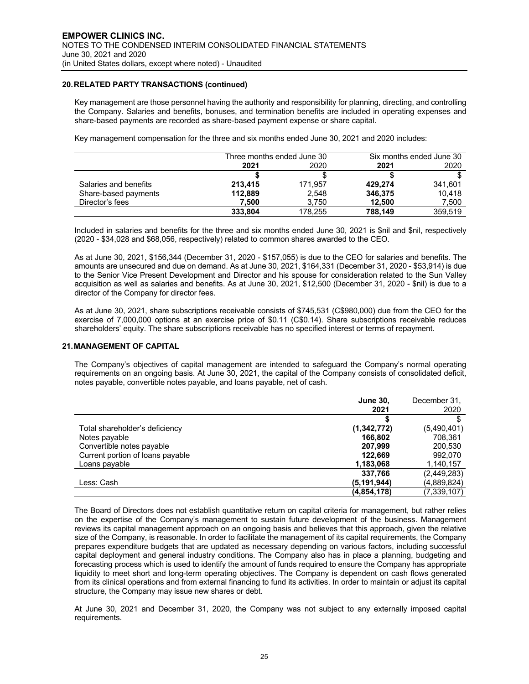# **20.RELATED PARTY TRANSACTIONS (continued)**

Key management are those personnel having the authority and responsibility for planning, directing, and controlling the Company. Salaries and benefits, bonuses, and termination benefits are included in operating expenses and share-based payments are recorded as share-based payment expense or share capital.

Key management compensation for the three and six months ended June 30, 2021 and 2020 includes:

|                       | Three months ended June 30 |         | Six months ended June 30 |         |
|-----------------------|----------------------------|---------|--------------------------|---------|
|                       | 2021                       | 2020    | 2021                     | 2020    |
|                       |                            |         |                          |         |
| Salaries and benefits | 213.415                    | 171.957 | 429.274                  | 341,601 |
| Share-based payments  | 112,889                    | 2,548   | 346,375                  | 10.418  |
| Director's fees       | 7.500                      | 3.750   | 12.500                   | 7,500   |
|                       | 333,804                    | 178.255 | 788,149                  | 359.519 |

Included in salaries and benefits for the three and six months ended June 30, 2021 is \$nil and \$nil, respectively (2020 - \$34,028 and \$68,056, respectively) related to common shares awarded to the CEO.

As at June 30, 2021, \$156,344 (December 31, 2020 - \$157,055) is due to the CEO for salaries and benefits. The amounts are unsecured and due on demand. As at June 30, 2021, \$164,331 (December 31, 2020 - \$53,914) is due to the Senior Vice Present Development and Director and his spouse for consideration related to the Sun Valley acquisition as well as salaries and benefits. As at June 30, 2021, \$12,500 (December 31, 2020 - \$nil) is due to a director of the Company for director fees.

As at June 30, 2021, share subscriptions receivable consists of \$745,531 (C\$980,000) due from the CEO for the exercise of 7,000,000 options at an exercise price of \$0.11 (C\$0.14). Share subscriptions receivable reduces shareholders' equity. The share subscriptions receivable has no specified interest or terms of repayment.

#### **21.MANAGEMENT OF CAPITAL**

The Company's objectives of capital management are intended to safeguard the Company's normal operating requirements on an ongoing basis. At June 30, 2021, the capital of the Company consists of consolidated deficit, notes payable, convertible notes payable, and loans payable, net of cash.

|                                  | <b>June 30,</b> | December 31.  |
|----------------------------------|-----------------|---------------|
|                                  | 2021            | 2020          |
|                                  |                 |               |
| Total shareholder's deficiency   | (1,342,772)     | (5,490,401)   |
| Notes payable                    | 166.802         | 708.361       |
| Convertible notes payable        | 207.999         | 200,530       |
| Current portion of loans payable | 122.669         | 992.070       |
| Loans payable                    | 1,183,068       | 1,140,157     |
|                                  | 337.766         | (2,449,283)   |
| Less: Cash                       | (5, 191, 944)   | (4,889,824)   |
|                                  | (4, 854, 178)   | (7, 339, 107) |

The Board of Directors does not establish quantitative return on capital criteria for management, but rather relies on the expertise of the Company's management to sustain future development of the business. Management reviews its capital management approach on an ongoing basis and believes that this approach, given the relative size of the Company, is reasonable. In order to facilitate the management of its capital requirements, the Company prepares expenditure budgets that are updated as necessary depending on various factors, including successful capital deployment and general industry conditions. The Company also has in place a planning, budgeting and forecasting process which is used to identify the amount of funds required to ensure the Company has appropriate liquidity to meet short and long-term operating objectives. The Company is dependent on cash flows generated from its clinical operations and from external financing to fund its activities. In order to maintain or adjust its capital structure, the Company may issue new shares or debt.

At June 30, 2021 and December 31, 2020, the Company was not subject to any externally imposed capital requirements.